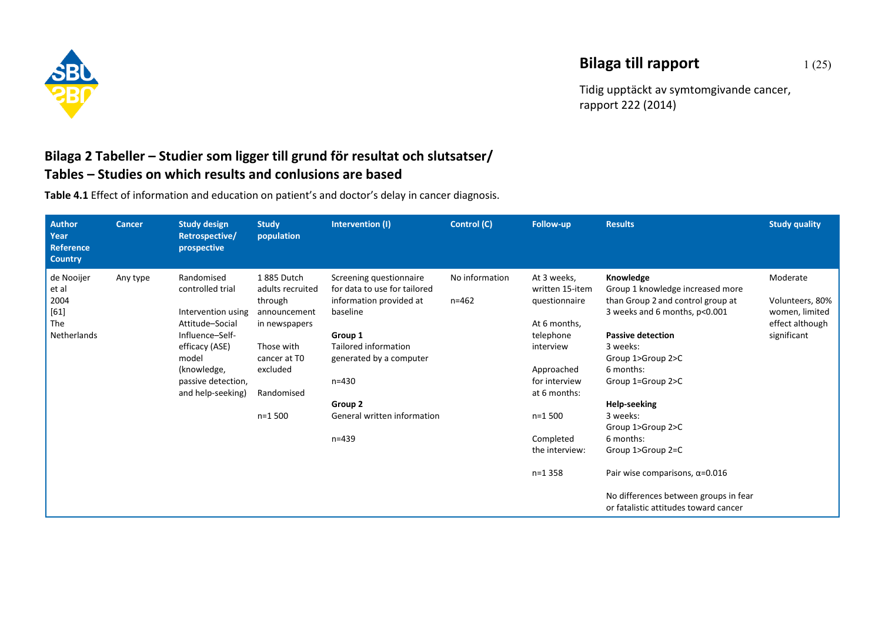

## **Bilaga till rapport** 1(25)

Tidig upptäckt av symtomgivande cancer, rapport 222 (2014)

## **Bilaga 2 Tabeller – Studier som ligger till grund för resultat och slutsatser/ Tables – Studies on which results and conlusions are based**

**Table 4.1** Effect of information and education on patient's and doctor's delay in cancer diagnosis.

| <b>Author</b><br>Year<br>Reference<br><b>Country</b> | <b>Cancer</b> | <b>Study design</b><br>Retrospective/<br>prospective | <b>Study</b><br>population               | Intervention (I)                                        | Control (C)    | Follow-up                      | <b>Results</b>                                                                 | <b>Study quality</b>                                 |
|------------------------------------------------------|---------------|------------------------------------------------------|------------------------------------------|---------------------------------------------------------|----------------|--------------------------------|--------------------------------------------------------------------------------|------------------------------------------------------|
| de Nooijer<br>et al                                  | Any type      | Randomised<br>controlled trial                       | 1885 Dutch<br>adults recruited           | Screening questionnaire<br>for data to use for tailored | No information | At 3 weeks,<br>written 15-item | Knowledge<br>Group 1 knowledge increased more                                  | Moderate                                             |
| 2004<br>$[61]$<br>The                                |               | Intervention using<br>Attitude-Social                | through<br>announcement<br>in newspapers | information provided at<br>baseline                     | $n = 462$      | questionnaire<br>At 6 months,  | than Group 2 and control group at<br>3 weeks and 6 months, p<0.001             | Volunteers, 80%<br>women, limited<br>effect although |
| Netherlands                                          |               | Influence-Self-<br>efficacy (ASE)                    | Those with                               | Group 1<br>Tailored information                         |                | telephone<br>interview         | <b>Passive detection</b><br>3 weeks:                                           | significant                                          |
|                                                      |               | model<br>(knowledge,<br>passive detection,           | cancer at T <sub>0</sub><br>excluded     | generated by a computer<br>$n = 430$                    |                | Approached<br>for interview    | Group 1>Group 2>C<br>6 months:<br>Group 1=Group 2>C                            |                                                      |
|                                                      |               | and help-seeking)                                    | Randomised                               | Group 2                                                 |                | at 6 months:                   | <b>Help-seeking</b>                                                            |                                                      |
|                                                      |               |                                                      | $n=1,500$                                | General written information                             |                | $n=1,500$                      | 3 weeks:<br>Group 1>Group 2>C                                                  |                                                      |
|                                                      |               |                                                      |                                          | $n = 439$                                               |                | Completed<br>the interview:    | 6 months:<br>Group 1>Group 2=C                                                 |                                                      |
|                                                      |               |                                                      |                                          |                                                         |                | $n=1358$                       | Pair wise comparisons, $\alpha$ =0.016                                         |                                                      |
|                                                      |               |                                                      |                                          |                                                         |                |                                | No differences between groups in fear<br>or fatalistic attitudes toward cancer |                                                      |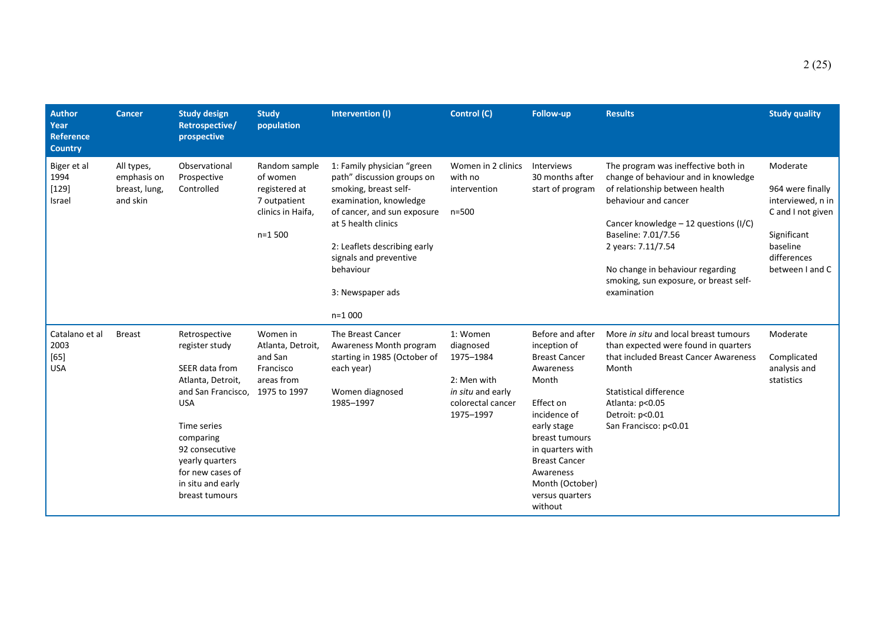| <b>Author</b><br>Year<br>Reference<br><b>Country</b> | <b>Cancer</b>                                          | <b>Study design</b><br>Retrospective/<br>prospective                                                                                                                                                                                   | <b>Study</b><br>population                                                                  | Intervention (I)                                                                                                                                                                                                                                                         | Control (C)                                                                                              | Follow-up                                                                                                                                                                                                                                              | <b>Results</b>                                                                                                                                                                                                                                                                                                            | <b>Study quality</b>                                                                                                                |
|------------------------------------------------------|--------------------------------------------------------|----------------------------------------------------------------------------------------------------------------------------------------------------------------------------------------------------------------------------------------|---------------------------------------------------------------------------------------------|--------------------------------------------------------------------------------------------------------------------------------------------------------------------------------------------------------------------------------------------------------------------------|----------------------------------------------------------------------------------------------------------|--------------------------------------------------------------------------------------------------------------------------------------------------------------------------------------------------------------------------------------------------------|---------------------------------------------------------------------------------------------------------------------------------------------------------------------------------------------------------------------------------------------------------------------------------------------------------------------------|-------------------------------------------------------------------------------------------------------------------------------------|
| Biger et al<br>1994<br>$[129]$<br>Israel             | All types,<br>emphasis on<br>breast, lung,<br>and skin | Observational<br>Prospective<br>Controlled                                                                                                                                                                                             | Random sample<br>of women<br>registered at<br>7 outpatient<br>clinics in Haifa,<br>$n=1500$ | 1: Family physician "green<br>path" discussion groups on<br>smoking, breast self-<br>examination, knowledge<br>of cancer, and sun exposure<br>at 5 health clinics<br>2: Leaflets describing early<br>signals and preventive<br>behaviour<br>3: Newspaper ads<br>$n=1000$ | Women in 2 clinics<br>with no<br>intervention<br>$n = 500$                                               | Interviews<br>30 months after<br>start of program                                                                                                                                                                                                      | The program was ineffective both in<br>change of behaviour and in knowledge<br>of relationship between health<br>behaviour and cancer<br>Cancer knowledge $-12$ questions (I/C)<br>Baseline: 7.01/7.56<br>2 years: 7.11/7.54<br>No change in behaviour regarding<br>smoking, sun exposure, or breast self-<br>examination | Moderate<br>964 were finally<br>interviewed, n in<br>C and I not given<br>Significant<br>baseline<br>differences<br>between I and C |
| Catalano et al<br>2003<br>[65]<br><b>USA</b>         | <b>Breast</b>                                          | Retrospective<br>register study<br>SEER data from<br>Atlanta, Detroit,<br>and San Francisco,<br><b>USA</b><br>Time series<br>comparing<br>92 consecutive<br>yearly quarters<br>for new cases of<br>in situ and early<br>breast tumours | Women in<br>Atlanta, Detroit,<br>and San<br>Francisco<br>areas from<br>1975 to 1997         | The Breast Cancer<br>Awareness Month program<br>starting in 1985 (October of<br>each year)<br>Women diagnosed<br>1985-1997                                                                                                                                               | 1: Women<br>diagnosed<br>1975-1984<br>2: Men with<br>in situ and early<br>colorectal cancer<br>1975-1997 | Before and after<br>inception of<br><b>Breast Cancer</b><br>Awareness<br>Month<br>Effect on<br>incidence of<br>early stage<br>breast tumours<br>in quarters with<br><b>Breast Cancer</b><br>Awareness<br>Month (October)<br>versus quarters<br>without | More in situ and local breast tumours<br>than expected were found in quarters<br>that included Breast Cancer Awareness<br>Month<br><b>Statistical difference</b><br>Atlanta: p<0.05<br>Detroit: p<0.01<br>San Francisco: p<0.01                                                                                           | Moderate<br>Complicated<br>analysis and<br>statistics                                                                               |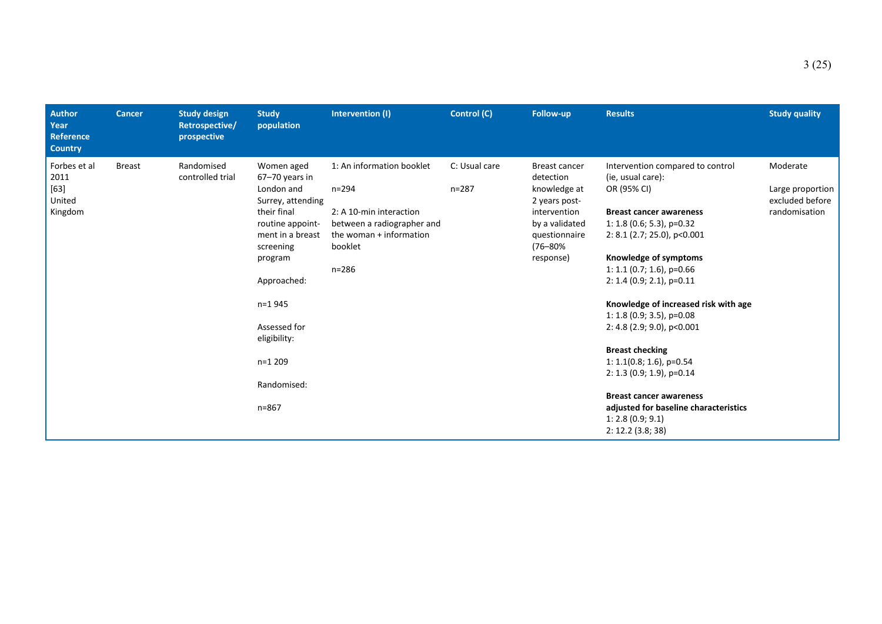| <b>Author</b><br>Year<br><b>Reference</b><br><b>Country</b> | Cancer        | <b>Study design</b><br>Retrospective/<br>prospective | <b>Study</b><br>population                                                                                                                                                                                                                        | Intervention (I)                                                                                                                                   | Control (C)                | <b>Follow-up</b>                                                                                                                       | <b>Results</b>                                                                                                                                                                                                                                                                                                                                                                                                                                                                                                                                                                       | <b>Study quality</b>                                             |
|-------------------------------------------------------------|---------------|------------------------------------------------------|---------------------------------------------------------------------------------------------------------------------------------------------------------------------------------------------------------------------------------------------------|----------------------------------------------------------------------------------------------------------------------------------------------------|----------------------------|----------------------------------------------------------------------------------------------------------------------------------------|--------------------------------------------------------------------------------------------------------------------------------------------------------------------------------------------------------------------------------------------------------------------------------------------------------------------------------------------------------------------------------------------------------------------------------------------------------------------------------------------------------------------------------------------------------------------------------------|------------------------------------------------------------------|
| Forbes et al<br>2011<br>$[63]$<br>United<br>Kingdom         | <b>Breast</b> | Randomised<br>controlled trial                       | Women aged<br>67-70 years in<br>London and<br>Surrey, attending<br>their final<br>routine appoint-<br>ment in a breast<br>screening<br>program<br>Approached:<br>$n=1945$<br>Assessed for<br>eligibility:<br>$n=1209$<br>Randomised:<br>$n = 867$ | 1: An information booklet<br>$n = 294$<br>2: A 10-min interaction<br>between a radiographer and<br>the woman + information<br>booklet<br>$n = 286$ | C: Usual care<br>$n = 287$ | Breast cancer<br>detection<br>knowledge at<br>2 years post-<br>intervention<br>by a validated<br>questionnaire<br>(76–80%<br>response) | Intervention compared to control<br>(ie, usual care):<br>OR (95% CI)<br><b>Breast cancer awareness</b><br>1: 1.8 (0.6; 5.3), $p=0.32$<br>$2: 8.1$ (2.7; 25.0), p<0.001<br>Knowledge of symptoms<br>1: 1.1 (0.7; 1.6), $p=0.66$<br>$2: 1.4 (0.9; 2.1), p=0.11$<br>Knowledge of increased risk with age<br>1: 1.8 $(0.9; 3.5)$ , p=0.08<br>$2: 4.8$ (2.9; 9.0), p < 0.001<br><b>Breast checking</b><br>$1: 1.1(0.8; 1.6)$ , p=0.54<br>$2: 1.3 (0.9; 1.9)$ , p=0.14<br><b>Breast cancer awareness</b><br>adjusted for baseline characteristics<br>1: 2.8(0.9; 9.1)<br>2: 12.2 (3.8; 38) | Moderate<br>Large proportion<br>excluded before<br>randomisation |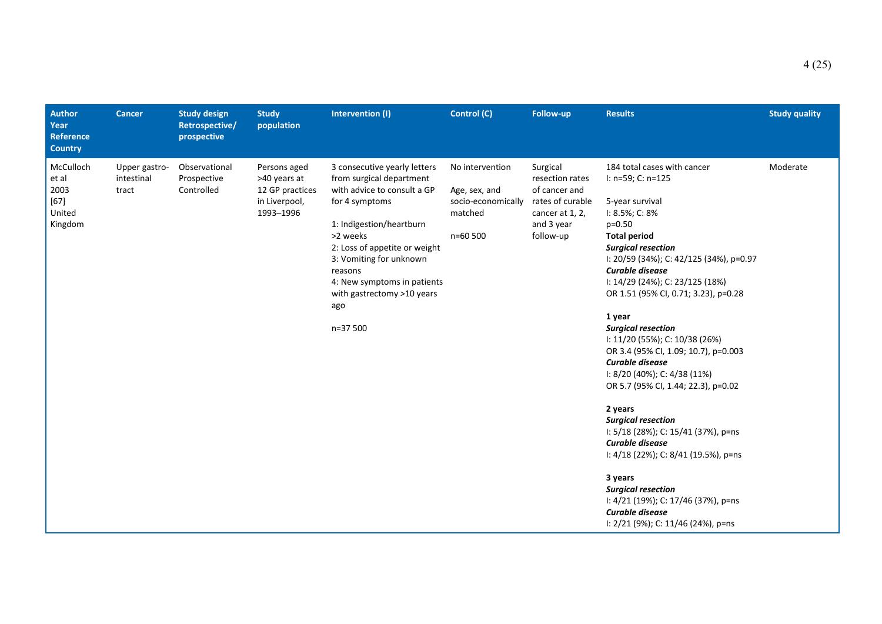| <b>Author</b><br>Year<br><b>Reference</b><br><b>Country</b> | <b>Cancer</b>                        | <b>Study design</b><br>Retrospective/<br>prospective | <b>Study</b><br>population                                                    | Intervention (I)                                                                                                                                                                                                                                                                                         | Control (C)                                                                       | Follow-up                                                                                                      | <b>Results</b>                                                                                                                                                                                                                                                                                                                                                                                                                                                                                                                                                                                                                                                                                                                                                                                    | <b>Study quality</b> |
|-------------------------------------------------------------|--------------------------------------|------------------------------------------------------|-------------------------------------------------------------------------------|----------------------------------------------------------------------------------------------------------------------------------------------------------------------------------------------------------------------------------------------------------------------------------------------------------|-----------------------------------------------------------------------------------|----------------------------------------------------------------------------------------------------------------|---------------------------------------------------------------------------------------------------------------------------------------------------------------------------------------------------------------------------------------------------------------------------------------------------------------------------------------------------------------------------------------------------------------------------------------------------------------------------------------------------------------------------------------------------------------------------------------------------------------------------------------------------------------------------------------------------------------------------------------------------------------------------------------------------|----------------------|
| McCulloch<br>et al<br>2003<br>$[67]$<br>United<br>Kingdom   | Upper gastro-<br>intestinal<br>tract | Observational<br>Prospective<br>Controlled           | Persons aged<br>>40 years at<br>12 GP practices<br>in Liverpool,<br>1993-1996 | 3 consecutive yearly letters<br>from surgical department<br>with advice to consult a GP<br>for 4 symptoms<br>1: Indigestion/heartburn<br>>2 weeks<br>2: Loss of appetite or weight<br>3: Vomiting for unknown<br>reasons<br>4: New symptoms in patients<br>with gastrectomy >10 years<br>ago<br>n=37 500 | No intervention<br>Age, sex, and<br>socio-economically<br>matched<br>$n = 60,500$ | Surgical<br>resection rates<br>of cancer and<br>rates of curable<br>cancer at 1, 2,<br>and 3 year<br>follow-up | 184 total cases with cancer<br>I: n=59; C: n=125<br>5-year survival<br>$1: 8.5\%$ ; C: 8%<br>$p=0.50$<br><b>Total period</b><br><b>Surgical resection</b><br>I: 20/59 (34%); C: 42/125 (34%), p=0.97<br>Curable disease<br>I: 14/29 (24%); C: 23/125 (18%)<br>OR 1.51 (95% CI, 0.71; 3.23), p=0.28<br>1 year<br><b>Surgical resection</b><br>I: 11/20 (55%); C: 10/38 (26%)<br>OR 3.4 (95% CI, 1.09; 10.7), p=0.003<br>Curable disease<br>$1: 8/20$ (40%); C: 4/38 (11%)<br>OR 5.7 (95% CI, 1.44; 22.3), p=0.02<br>2 years<br><b>Surgical resection</b><br>I: 5/18 (28%); C: 15/41 (37%), p=ns<br>Curable disease<br>I: 4/18 (22%); C: 8/41 (19.5%), p=ns<br>3 years<br><b>Surgical resection</b><br>I: 4/21 (19%); C: 17/46 (37%), p=ns<br>Curable disease<br>I: 2/21 (9%); C: 11/46 (24%), p=ns | Moderate             |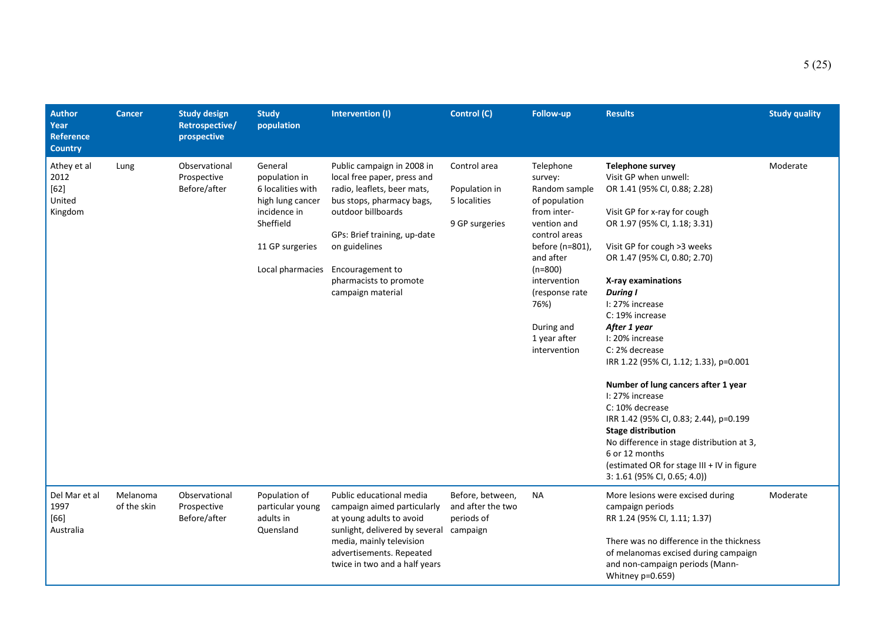| <b>Author</b><br>Year<br><b>Reference</b><br><b>Country</b> | <b>Cancer</b>           | <b>Study design</b><br>Retrospective/<br>prospective | <b>Study</b><br>population                                                                                                            | Intervention (I)                                                                                                                                                                                                                                                | Control (C)                                                     | Follow-up                                                                                                                                                                                                                                   | <b>Results</b>                                                                                                                                                                                                                                                                                                                                                                                                                                                                                                                                                                                                                                                                                 | <b>Study quality</b> |
|-------------------------------------------------------------|-------------------------|------------------------------------------------------|---------------------------------------------------------------------------------------------------------------------------------------|-----------------------------------------------------------------------------------------------------------------------------------------------------------------------------------------------------------------------------------------------------------------|-----------------------------------------------------------------|---------------------------------------------------------------------------------------------------------------------------------------------------------------------------------------------------------------------------------------------|------------------------------------------------------------------------------------------------------------------------------------------------------------------------------------------------------------------------------------------------------------------------------------------------------------------------------------------------------------------------------------------------------------------------------------------------------------------------------------------------------------------------------------------------------------------------------------------------------------------------------------------------------------------------------------------------|----------------------|
| Athey et al<br>2012<br>$[62]$<br>United<br>Kingdom          | Lung                    | Observational<br>Prospective<br>Before/after         | General<br>population in<br>6 localities with<br>high lung cancer<br>incidence in<br>Sheffield<br>11 GP surgeries<br>Local pharmacies | Public campaign in 2008 in<br>local free paper, press and<br>radio, leaflets, beer mats,<br>bus stops, pharmacy bags,<br>outdoor billboards<br>GPs: Brief training, up-date<br>on guidelines<br>Encouragement to<br>pharmacists to promote<br>campaign material | Control area<br>Population in<br>5 localities<br>9 GP surgeries | Telephone<br>survey:<br>Random sample<br>of population<br>from inter-<br>vention and<br>control areas<br>before (n=801),<br>and after<br>$(n=800)$<br>intervention<br>(response rate)<br>76%)<br>During and<br>1 year after<br>intervention | <b>Telephone survey</b><br>Visit GP when unwell:<br>OR 1.41 (95% CI, 0.88; 2.28)<br>Visit GP for x-ray for cough<br>OR 1.97 (95% CI, 1.18; 3.31)<br>Visit GP for cough >3 weeks<br>OR 1.47 (95% CI, 0.80; 2.70)<br>X-ray examinations<br><b>During I</b><br>I: 27% increase<br>C: 19% increase<br>After 1 year<br>I: 20% increase<br>C: 2% decrease<br>IRR 1.22 (95% CI, 1.12; 1.33), p=0.001<br>Number of lung cancers after 1 year<br>I: 27% increase<br>C: 10% decrease<br>IRR 1.42 (95% CI, 0.83; 2.44), p=0.199<br><b>Stage distribution</b><br>No difference in stage distribution at 3,<br>6 or 12 months<br>(estimated OR for stage III + IV in figure<br>3: 1.61 (95% CI, 0.65; 4.0)) | Moderate             |
| Del Mar et al<br>1997<br>$[66]$<br>Australia                | Melanoma<br>of the skin | Observational<br>Prospective<br>Before/after         | Population of<br>particular young<br>adults in<br>Quensland                                                                           | Public educational media<br>campaign aimed particularly<br>at young adults to avoid<br>sunlight, delivered by several campaign<br>media, mainly television<br>advertisements. Repeated<br>twice in two and a half years                                         | Before, between,<br>and after the two<br>periods of             | <b>NA</b>                                                                                                                                                                                                                                   | More lesions were excised during<br>campaign periods<br>RR 1.24 (95% CI, 1.11; 1.37)<br>There was no difference in the thickness<br>of melanomas excised during campaign<br>and non-campaign periods (Mann-<br>Whitney p=0.659)                                                                                                                                                                                                                                                                                                                                                                                                                                                                | Moderate             |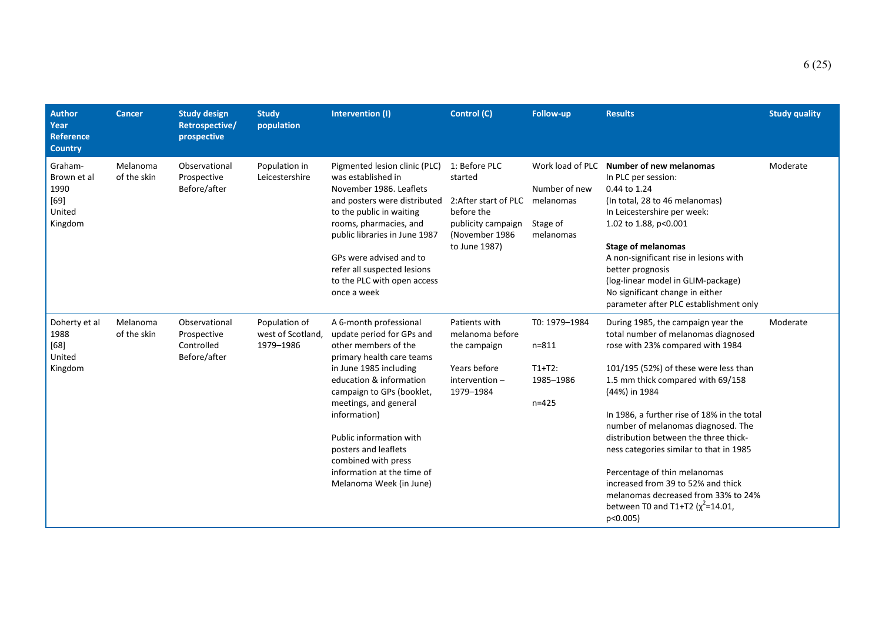| <b>Author</b><br>Year<br><b>Reference</b><br><b>Country</b>   | <b>Cancer</b>           | <b>Study design</b><br>Retrospective/<br>prospective       | <b>Study</b><br>population                     | Intervention (I)                                                                                                                                                                                                                                                                                                                                                       | Control (C)                                                                                                              | Follow-up                                                               | <b>Results</b>                                                                                                                                                                                                                                                                                                                                                                                                                                                                                                                                       | <b>Study quality</b> |
|---------------------------------------------------------------|-------------------------|------------------------------------------------------------|------------------------------------------------|------------------------------------------------------------------------------------------------------------------------------------------------------------------------------------------------------------------------------------------------------------------------------------------------------------------------------------------------------------------------|--------------------------------------------------------------------------------------------------------------------------|-------------------------------------------------------------------------|------------------------------------------------------------------------------------------------------------------------------------------------------------------------------------------------------------------------------------------------------------------------------------------------------------------------------------------------------------------------------------------------------------------------------------------------------------------------------------------------------------------------------------------------------|----------------------|
| Graham-<br>Brown et al<br>1990<br>$[69]$<br>United<br>Kingdom | Melanoma<br>of the skin | Observational<br>Prospective<br>Before/after               | Population in<br>Leicestershire                | Pigmented lesion clinic (PLC)<br>was established in<br>November 1986. Leaflets<br>and posters were distributed<br>to the public in waiting<br>rooms, pharmacies, and<br>public libraries in June 1987<br>GPs were advised and to<br>refer all suspected lesions<br>to the PLC with open access<br>once a week                                                          | 1: Before PLC<br>started<br>2: After start of PLC<br>before the<br>publicity campaign<br>(November 1986<br>to June 1987) | Work load of PLC<br>Number of new<br>melanomas<br>Stage of<br>melanomas | Number of new melanomas<br>In PLC per session:<br>0.44 to 1.24<br>(In total, 28 to 46 melanomas)<br>In Leicestershire per week:<br>1.02 to 1.88, p<0.001<br><b>Stage of melanomas</b><br>A non-significant rise in lesions with<br>better prognosis<br>(log-linear model in GLIM-package)<br>No significant change in either<br>parameter after PLC establishment only                                                                                                                                                                               | Moderate             |
| Doherty et al<br>1988<br>[68]<br>United<br>Kingdom            | Melanoma<br>of the skin | Observational<br>Prospective<br>Controlled<br>Before/after | Population of<br>west of Scotland<br>1979-1986 | A 6-month professional<br>update period for GPs and<br>other members of the<br>primary health care teams<br>in June 1985 including<br>education & information<br>campaign to GPs (booklet,<br>meetings, and general<br>information)<br>Public information with<br>posters and leaflets<br>combined with press<br>information at the time of<br>Melanoma Week (in June) | Patients with<br>melanoma before<br>the campaign<br>Years before<br>$intervention -$<br>1979-1984                        | T0: 1979-1984<br>$n = 811$<br>$T1+T2$ :<br>1985-1986<br>$n = 425$       | During 1985, the campaign year the<br>total number of melanomas diagnosed<br>rose with 23% compared with 1984<br>101/195 (52%) of these were less than<br>1.5 mm thick compared with 69/158<br>(44%) in 1984<br>In 1986, a further rise of 18% in the total<br>number of melanomas diagnosed. The<br>distribution between the three thick-<br>ness categories similar to that in 1985<br>Percentage of thin melanomas<br>increased from 39 to 52% and thick<br>melanomas decreased from 33% to 24%<br>between T0 and T1+T2 $(x^2=14.01,$<br>p<0.005) | Moderate             |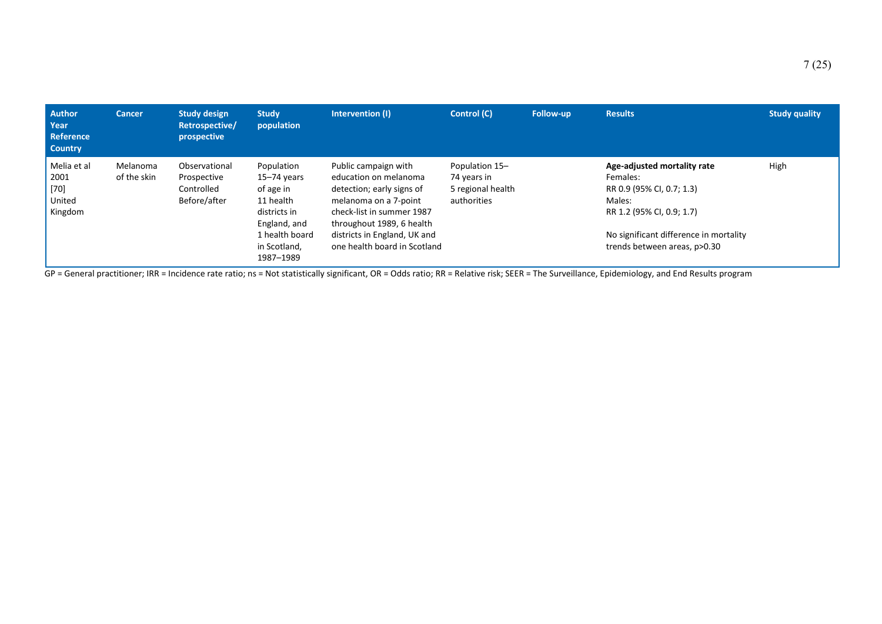| <b>Author</b><br>Year<br><b>Reference</b><br><b>Country</b> | <b>Cancer</b>           | <b>Study design</b><br>Retrospective/<br>prospective       | <b>Study</b><br>population                                                              | Intervention (I)                                                                                                                                              | Control (C)                                                       | <b>Follow-up</b> | <b>Results</b>                                                                                              | <b>Study quality</b> |
|-------------------------------------------------------------|-------------------------|------------------------------------------------------------|-----------------------------------------------------------------------------------------|---------------------------------------------------------------------------------------------------------------------------------------------------------------|-------------------------------------------------------------------|------------------|-------------------------------------------------------------------------------------------------------------|----------------------|
| Melia et al<br>2001<br>[70]<br>United<br>Kingdom            | Melanoma<br>of the skin | Observational<br>Prospective<br>Controlled<br>Before/after | Population<br>$15 - 74$ years<br>of age in<br>11 health<br>districts in<br>England, and | Public campaign with<br>education on melanoma<br>detection; early signs of<br>melanoma on a 7-point<br>check-list in summer 1987<br>throughout 1989, 6 health | Population 15-<br>74 years in<br>5 regional health<br>authorities |                  | Age-adjusted mortality rate<br>Females:<br>RR 0.9 (95% CI, 0.7; 1.3)<br>Males:<br>RR 1.2 (95% CI, 0.9; 1.7) | High                 |
|                                                             |                         |                                                            | 1 health board<br>in Scotland,<br>1987-1989                                             | districts in England, UK and<br>one health board in Scotland                                                                                                  |                                                                   |                  | No significant difference in mortality<br>trends between areas, p>0.30                                      |                      |

GP = General practitioner; IRR = Incidence rate ratio; ns = Not statistically significant, OR = Odds ratio; RR = Relative risk; SEER = The Surveillance, Epidemiology, and End Results program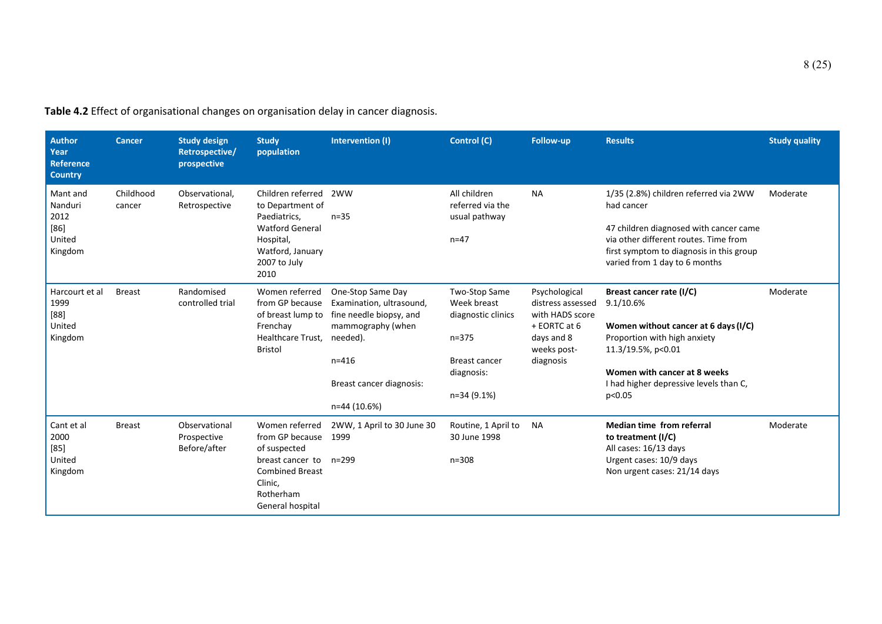| <b>Author</b><br>Year<br><b>Reference</b><br><b>Country</b> | <b>Cancer</b>       | <b>Study design</b><br>Retrospective/<br>prospective | <b>Study</b><br>population                                                                                                                             | Intervention (I)                                                                                                                                                   | Control (C)                                                                                                          | Follow-up                                                                                                       | <b>Results</b>                                                                                                                                                                                                          | <b>Study quality</b> |
|-------------------------------------------------------------|---------------------|------------------------------------------------------|--------------------------------------------------------------------------------------------------------------------------------------------------------|--------------------------------------------------------------------------------------------------------------------------------------------------------------------|----------------------------------------------------------------------------------------------------------------------|-----------------------------------------------------------------------------------------------------------------|-------------------------------------------------------------------------------------------------------------------------------------------------------------------------------------------------------------------------|----------------------|
| Mant and<br>Nanduri<br>2012<br>$[86]$<br>United<br>Kingdom  | Childhood<br>cancer | Observational,<br>Retrospective                      | Children referred 2WW<br>to Department of<br>Paediatrics,<br><b>Watford General</b><br>Hospital,<br>Watford, January<br>2007 to July<br>2010           | $n=35$                                                                                                                                                             | All children<br>referred via the<br>usual pathway<br>$n = 47$                                                        | <b>NA</b>                                                                                                       | 1/35 (2.8%) children referred via 2WW<br>had cancer<br>47 children diagnosed with cancer came<br>via other different routes. Time from<br>first symptom to diagnosis in this group<br>varied from 1 day to 6 months     | Moderate             |
| Harcourt et al<br>1999<br>[88]<br>United<br>Kingdom         | <b>Breast</b>       | Randomised<br>controlled trial                       | Women referred<br>from GP because<br>of breast lump to<br>Frenchay<br>Healthcare Trust,<br><b>Bristol</b>                                              | One-Stop Same Day<br>Examination, ultrasound,<br>fine needle biopsy, and<br>mammography (when<br>needed).<br>$n = 416$<br>Breast cancer diagnosis:<br>n=44 (10.6%) | Two-Stop Same<br>Week breast<br>diagnostic clinics<br>$n = 375$<br><b>Breast cancer</b><br>diagnosis:<br>n=34 (9.1%) | Psychological<br>distress assessed<br>with HADS score<br>+ EORTC at 6<br>days and 8<br>weeks post-<br>diagnosis | Breast cancer rate (I/C)<br>9.1/10.6%<br>Women without cancer at 6 days (I/C)<br>Proportion with high anxiety<br>11.3/19.5%, p<0.01<br>Women with cancer at 8 weeks<br>I had higher depressive levels than C,<br>p<0.05 | Moderate             |
| Cant et al<br>2000<br>$[85]$<br>United<br>Kingdom           | <b>Breast</b>       | Observational<br>Prospective<br>Before/after         | Women referred<br>from GP because 1999<br>of suspected<br>breast cancer to n=299<br><b>Combined Breast</b><br>Clinic,<br>Rotherham<br>General hospital | 2WW, 1 April to 30 June 30                                                                                                                                         | Routine, 1 April to<br>30 June 1998<br>$n = 308$                                                                     | <b>NA</b>                                                                                                       | <b>Median time from referral</b><br>to treatment (I/C)<br>All cases: 16/13 days<br>Urgent cases: 10/9 days<br>Non urgent cases: 21/14 days                                                                              | Moderate             |

**Table 4.2** Effect of organisational changes on organisation delay in cancer diagnosis.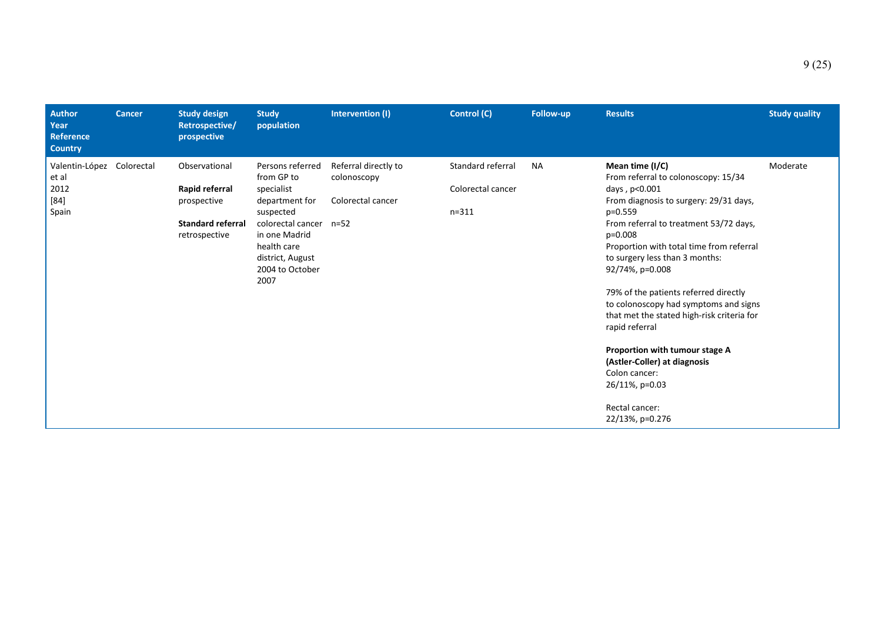| <b>Author</b><br>Year<br><b>Reference</b><br><b>Country</b> | <b>Cancer</b> | <b>Study design</b><br>Retrospective/<br>prospective                                        | <b>Study</b><br>population                                                                                                                                                           | Intervention (I)                                         | Control (C)                                         | Follow-up | <b>Results</b>                                                                                                                                                                                                                                                                                                                                                                                                                                                                                                                                                                     | <b>Study quality</b> |
|-------------------------------------------------------------|---------------|---------------------------------------------------------------------------------------------|--------------------------------------------------------------------------------------------------------------------------------------------------------------------------------------|----------------------------------------------------------|-----------------------------------------------------|-----------|------------------------------------------------------------------------------------------------------------------------------------------------------------------------------------------------------------------------------------------------------------------------------------------------------------------------------------------------------------------------------------------------------------------------------------------------------------------------------------------------------------------------------------------------------------------------------------|----------------------|
| Valentin-López<br>et al<br>2012<br>$[84]$<br>Spain          | Colorectal    | Observational<br>Rapid referral<br>prospective<br><b>Standard referral</b><br>retrospective | Persons referred<br>from GP to<br>specialist<br>department for<br>suspected<br>colorectal cancer n=52<br>in one Madrid<br>health care<br>district, August<br>2004 to October<br>2007 | Referral directly to<br>colonoscopy<br>Colorectal cancer | Standard referral<br>Colorectal cancer<br>$n = 311$ | <b>NA</b> | Mean time (I/C)<br>From referral to colonoscopy: 15/34<br>days, p<0.001<br>From diagnosis to surgery: 29/31 days,<br>$p=0.559$<br>From referral to treatment 53/72 days,<br>$p=0.008$<br>Proportion with total time from referral<br>to surgery less than 3 months:<br>92/74%, p=0.008<br>79% of the patients referred directly<br>to colonoscopy had symptoms and signs<br>that met the stated high-risk criteria for<br>rapid referral<br>Proportion with tumour stage A<br>(Astler-Coller) at diagnosis<br>Colon cancer:<br>26/11%, p=0.03<br>Rectal cancer:<br>22/13%, p=0.276 | Moderate             |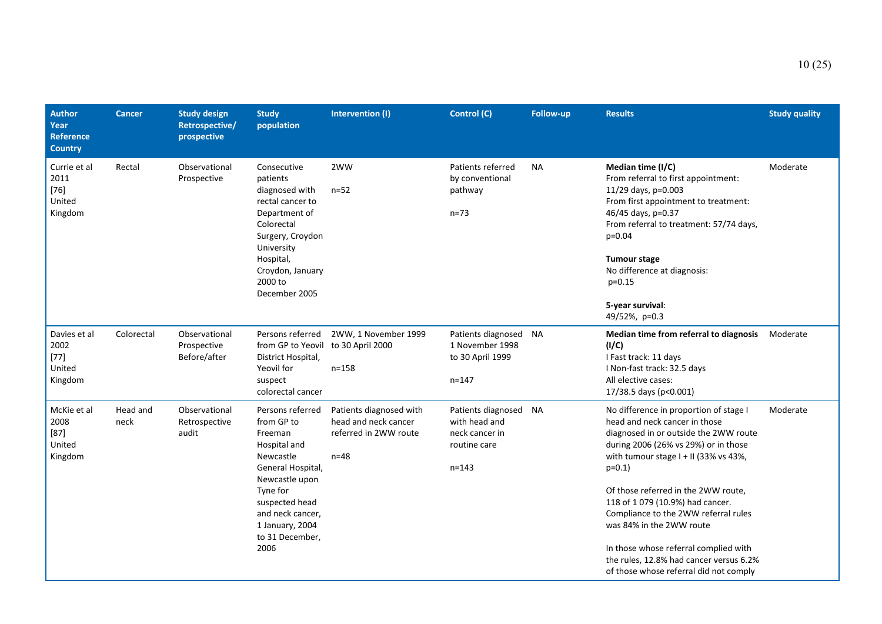| <b>Author</b><br>Year<br><b>Reference</b><br><b>Country</b> | <b>Cancer</b>    | <b>Study design</b><br>Retrospective/<br>prospective | <b>Study</b><br>population                                                                                                                                                                                    | Intervention (I)                                                                   | Control (C)                                                                           | Follow-up | <b>Results</b>                                                                                                                                                                                                                                                                                                                                                                                                                                                                             | <b>Study quality</b> |
|-------------------------------------------------------------|------------------|------------------------------------------------------|---------------------------------------------------------------------------------------------------------------------------------------------------------------------------------------------------------------|------------------------------------------------------------------------------------|---------------------------------------------------------------------------------------|-----------|--------------------------------------------------------------------------------------------------------------------------------------------------------------------------------------------------------------------------------------------------------------------------------------------------------------------------------------------------------------------------------------------------------------------------------------------------------------------------------------------|----------------------|
| Currie et al<br>2011<br>$[76]$<br>United<br>Kingdom         | Rectal           | Observational<br>Prospective                         | Consecutive<br>patients<br>diagnosed with<br>rectal cancer to<br>Department of<br>Colorectal<br>Surgery, Croydon<br>University<br>Hospital,<br>Croydon, January<br>2000 to<br>December 2005                   | 2WW<br>$n = 52$                                                                    | Patients referred<br>by conventional<br>pathway<br>$n = 73$                           | <b>NA</b> | Median time (I/C)<br>From referral to first appointment:<br>11/29 days, p=0.003<br>From first appointment to treatment:<br>46/45 days, p=0.37<br>From referral to treatment: 57/74 days,<br>$p=0.04$<br><b>Tumour stage</b><br>No difference at diagnosis:<br>$p=0.15$<br>5-year survival:<br>49/52%, p=0.3                                                                                                                                                                                | Moderate             |
| Davies et al<br>2002<br>$[77]$<br>United<br>Kingdom         | Colorectal       | Observational<br>Prospective<br>Before/after         | Persons referred<br>from GP to Yeovil to 30 April 2000<br>District Hospital,<br>Yeovil for<br>suspect<br>colorectal cancer                                                                                    | 2WW, 1 November 1999<br>$n = 158$                                                  | Patients diagnosed<br>1 November 1998<br>to 30 April 1999<br>$n = 147$                | ΝA        | Median time from referral to diagnosis<br>(I/C)<br>I Fast track: 11 days<br>I Non-fast track: 32.5 days<br>All elective cases:<br>17/38.5 days (p<0.001)                                                                                                                                                                                                                                                                                                                                   | Moderate             |
| McKie et al<br>2008<br>$[87]$<br>United<br>Kingdom          | Head and<br>neck | Observational<br>Retrospective<br>audit              | Persons referred<br>from GP to<br>Freeman<br>Hospital and<br>Newcastle<br>General Hospital,<br>Newcastle upon<br>Tyne for<br>suspected head<br>and neck cancer,<br>1 January, 2004<br>to 31 December,<br>2006 | Patients diagnosed with<br>head and neck cancer<br>referred in 2WW route<br>$n=48$ | Patients diagnosed NA<br>with head and<br>neck cancer in<br>routine care<br>$n = 143$ |           | No difference in proportion of stage I<br>head and neck cancer in those<br>diagnosed in or outside the 2WW route<br>during 2006 (26% vs 29%) or in those<br>with tumour stage $I + II$ (33% vs 43%,<br>$p=0.1$<br>Of those referred in the 2WW route,<br>118 of 1079 (10.9%) had cancer.<br>Compliance to the 2WW referral rules<br>was 84% in the 2WW route<br>In those whose referral complied with<br>the rules, 12.8% had cancer versus 6.2%<br>of those whose referral did not comply | Moderate             |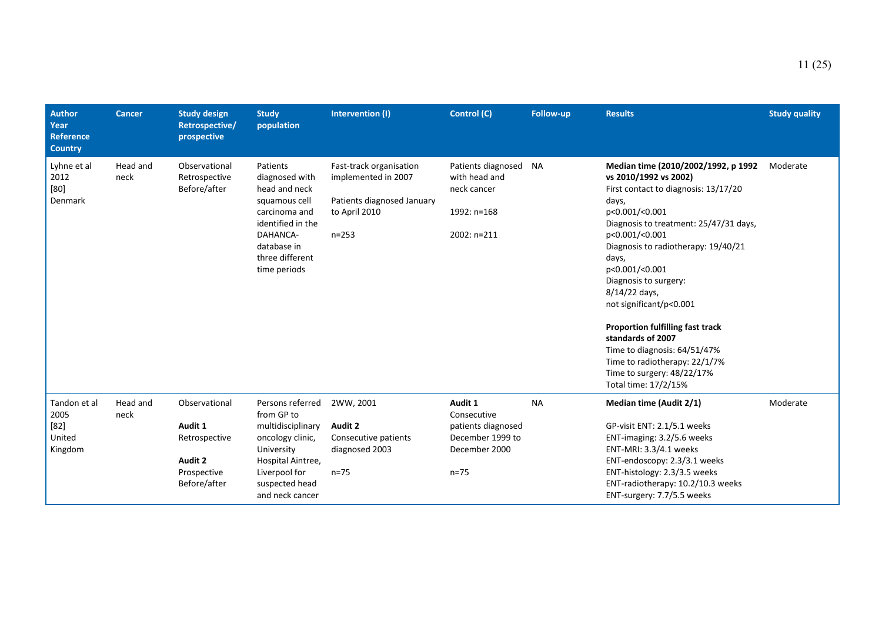| <b>Author</b><br>Year<br><b>Reference</b><br><b>Country</b> | <b>Cancer</b>    | <b>Study design</b><br>Retrospective/<br>prospective                                | <b>Study</b><br>population                                                                                                                                       | Intervention (I)                                                                                           | Control (C)                                                                                   | <b>Follow-up</b> | <b>Results</b>                                                                                                                                                                                                                                                                                                                                                                                                                                                                                                             | <b>Study quality</b> |
|-------------------------------------------------------------|------------------|-------------------------------------------------------------------------------------|------------------------------------------------------------------------------------------------------------------------------------------------------------------|------------------------------------------------------------------------------------------------------------|-----------------------------------------------------------------------------------------------|------------------|----------------------------------------------------------------------------------------------------------------------------------------------------------------------------------------------------------------------------------------------------------------------------------------------------------------------------------------------------------------------------------------------------------------------------------------------------------------------------------------------------------------------------|----------------------|
| Lyhne et al<br>2012<br>[80]<br>Denmark                      | Head and<br>neck | Observational<br>Retrospective<br>Before/after                                      | Patients<br>diagnosed with<br>head and neck<br>squamous cell<br>carcinoma and<br>identified in the<br>DAHANCA-<br>database in<br>three different<br>time periods | Fast-track organisation<br>implemented in 2007<br>Patients diagnosed January<br>to April 2010<br>$n = 253$ | Patients diagnosed<br>with head and<br>neck cancer<br>1992: n=168<br>2002: n=211              | <b>NA</b>        | Median time (2010/2002/1992, p 1992)<br>vs 2010/1992 vs 2002)<br>First contact to diagnosis: 13/17/20<br>days,<br>p<0.001/<0.001<br>Diagnosis to treatment: 25/47/31 days,<br>p<0.001/<0.001<br>Diagnosis to radiotherapy: 19/40/21<br>days,<br>p<0.001/<0.001<br>Diagnosis to surgery:<br>8/14/22 days,<br>not significant/p<0.001<br><b>Proportion fulfilling fast track</b><br>standards of 2007<br>Time to diagnosis: 64/51/47%<br>Time to radiotherapy: 22/1/7%<br>Time to surgery: 48/22/17%<br>Total time: 17/2/15% | Moderate             |
| Tandon et al<br>2005<br>$[82]$<br>United<br>Kingdom         | Head and<br>neck | Observational<br>Audit 1<br>Retrospective<br>Audit 2<br>Prospective<br>Before/after | Persons referred<br>from GP to<br>multidisciplinary<br>oncology clinic,<br>University<br>Hospital Aintree,<br>Liverpool for<br>suspected head<br>and neck cancer | 2WW, 2001<br><b>Audit 2</b><br>Consecutive patients<br>diagnosed 2003<br>$n = 75$                          | Audit 1<br>Consecutive<br>patients diagnosed<br>December 1999 to<br>December 2000<br>$n = 75$ | <b>NA</b>        | Median time (Audit 2/1)<br>GP-visit ENT: 2.1/5.1 weeks<br>ENT-imaging: 3.2/5.6 weeks<br>ENT-MRI: 3.3/4.1 weeks<br>ENT-endoscopy: 2.3/3.1 weeks<br>ENT-histology: 2.3/3.5 weeks<br>ENT-radiotherapy: 10.2/10.3 weeks<br>ENT-surgery: 7.7/5.5 weeks                                                                                                                                                                                                                                                                          | Moderate             |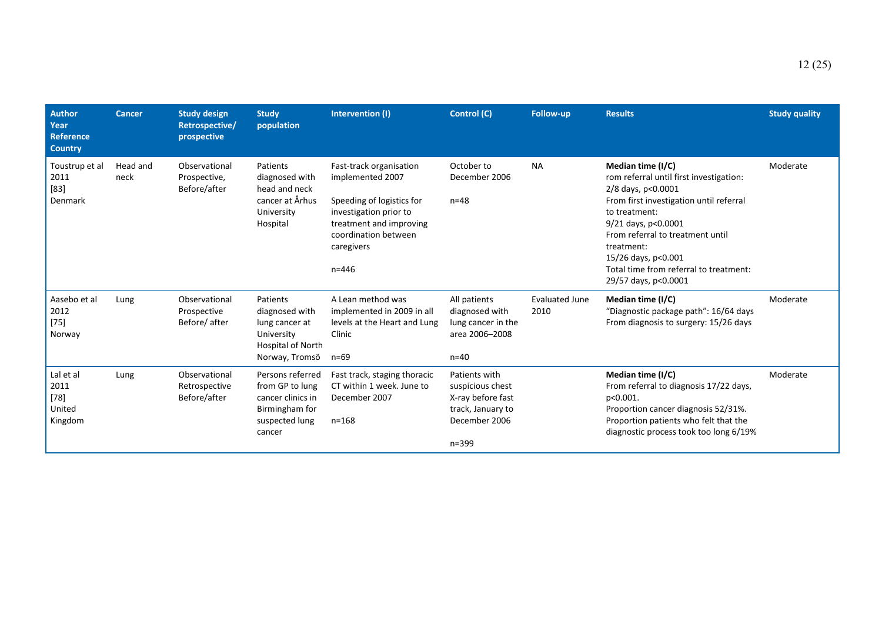| <b>Author</b><br>Year<br>Reference<br><b>Country</b> | <b>Cancer</b>    | <b>Study design</b><br>Retrospective/<br>prospective | <b>Study</b><br>population                                                                             | Intervention (I)                                                                                                                                                                 | Control (C)                                                                                               | <b>Follow-up</b>              | <b>Results</b>                                                                                                                                                                                                                                                                                                   | <b>Study quality</b> |
|------------------------------------------------------|------------------|------------------------------------------------------|--------------------------------------------------------------------------------------------------------|----------------------------------------------------------------------------------------------------------------------------------------------------------------------------------|-----------------------------------------------------------------------------------------------------------|-------------------------------|------------------------------------------------------------------------------------------------------------------------------------------------------------------------------------------------------------------------------------------------------------------------------------------------------------------|----------------------|
| Toustrup et al<br>2011<br>$[83]$<br>Denmark          | Head and<br>neck | Observational<br>Prospective,<br>Before/after        | Patients<br>diagnosed with<br>head and neck<br>cancer at Århus<br>University<br>Hospital               | Fast-track organisation<br>implemented 2007<br>Speeding of logistics for<br>investigation prior to<br>treatment and improving<br>coordination between<br>caregivers<br>$n = 446$ | October to<br>December 2006<br>$n = 48$                                                                   | <b>NA</b>                     | Median time (I/C)<br>rom referral until first investigation:<br>2/8 days, p<0.0001<br>From first investigation until referral<br>to treatment:<br>9/21 days, p<0.0001<br>From referral to treatment until<br>treatment:<br>15/26 days, p<0.001<br>Total time from referral to treatment:<br>29/57 days, p<0.0001 | Moderate             |
| Aasebo et al<br>2012<br>$[75]$<br>Norway             | Lung             | Observational<br>Prospective<br>Before/after         | Patients<br>diagnosed with<br>lung cancer at<br>University<br>Hospital of North<br>Norway, Tromsö      | A Lean method was<br>implemented in 2009 in all<br>levels at the Heart and Lung<br>Clinic<br>$n = 69$                                                                            | All patients<br>diagnosed with<br>lung cancer in the<br>area 2006-2008<br>$n=40$                          | <b>Evaluated June</b><br>2010 | Median time (I/C)<br>"Diagnostic package path": 16/64 days<br>From diagnosis to surgery: 15/26 days                                                                                                                                                                                                              | Moderate             |
| Lal et al<br>2011<br>$[78]$<br>United<br>Kingdom     | Lung             | Observational<br>Retrospective<br>Before/after       | Persons referred<br>from GP to lung<br>cancer clinics in<br>Birmingham for<br>suspected lung<br>cancer | Fast track, staging thoracic<br>CT within 1 week. June to<br>December 2007<br>$n = 168$                                                                                          | Patients with<br>suspicious chest<br>X-ray before fast<br>track, January to<br>December 2006<br>$n = 399$ |                               | Median time (I/C)<br>From referral to diagnosis 17/22 days,<br>p<0.001.<br>Proportion cancer diagnosis 52/31%.<br>Proportion patients who felt that the<br>diagnostic process took too long 6/19%                                                                                                                | Moderate             |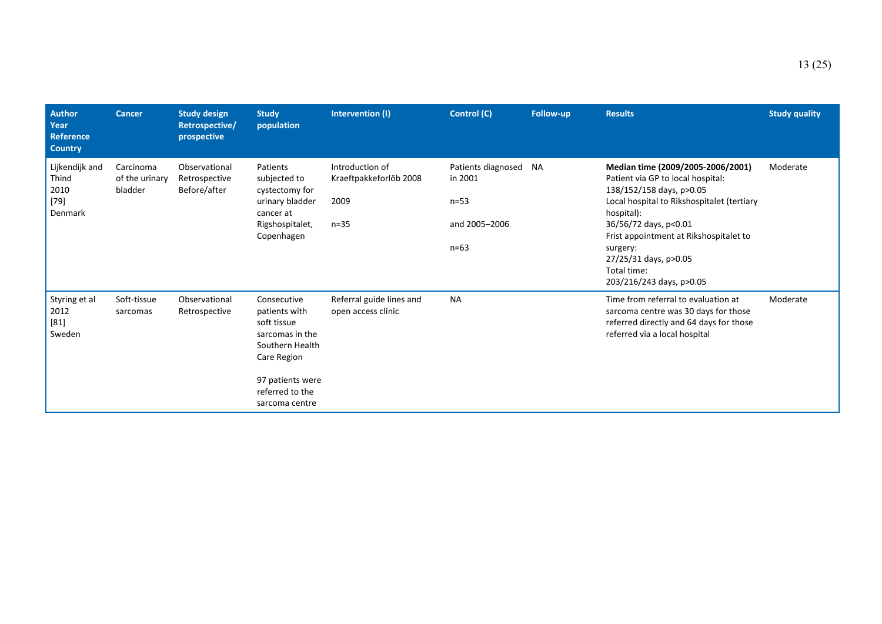| <b>Author</b><br>Year<br>Reference<br><b>Country</b> | <b>Cancer</b>                          | <b>Study design</b><br>Retrospective/<br>prospective | <b>Study</b><br>population                                                                                                                                | Intervention (I)                                              | Control (C)                                                            | Follow-up | <b>Results</b>                                                                                                                                                                                                                                                                                                    | <b>Study quality</b> |
|------------------------------------------------------|----------------------------------------|------------------------------------------------------|-----------------------------------------------------------------------------------------------------------------------------------------------------------|---------------------------------------------------------------|------------------------------------------------------------------------|-----------|-------------------------------------------------------------------------------------------------------------------------------------------------------------------------------------------------------------------------------------------------------------------------------------------------------------------|----------------------|
| Lijkendijk and<br>Thind<br>2010<br>$[79]$<br>Denmark | Carcinoma<br>of the urinary<br>bladder | Observational<br>Retrospective<br>Before/after       | Patients<br>subjected to<br>cystectomy for<br>urinary bladder<br>cancer at<br>Rigshospitalet,<br>Copenhagen                                               | Introduction of<br>Kraeftpakkeforlöb 2008<br>2009<br>$n = 35$ | Patients diagnosed<br>in 2001<br>$n = 53$<br>and 2005-2006<br>$n = 63$ | <b>NA</b> | Median time (2009/2005-2006/2001)<br>Patient via GP to local hospital:<br>138/152/158 days, p>0.05<br>Local hospital to Rikshospitalet (tertiary<br>hospital):<br>36/56/72 days, p<0.01<br>Frist appointment at Rikshospitalet to<br>surgery:<br>27/25/31 days, p>0.05<br>Total time:<br>203/216/243 days, p>0.05 | Moderate             |
| Styring et al<br>2012<br>$[81]$<br>Sweden            | Soft-tissue<br>sarcomas                | Observational<br>Retrospective                       | Consecutive<br>patients with<br>soft tissue<br>sarcomas in the<br>Southern Health<br>Care Region<br>97 patients were<br>referred to the<br>sarcoma centre | Referral guide lines and<br>open access clinic                | <b>NA</b>                                                              |           | Time from referral to evaluation at<br>sarcoma centre was 30 days for those<br>referred directly and 64 days for those<br>referred via a local hospital                                                                                                                                                           | Moderate             |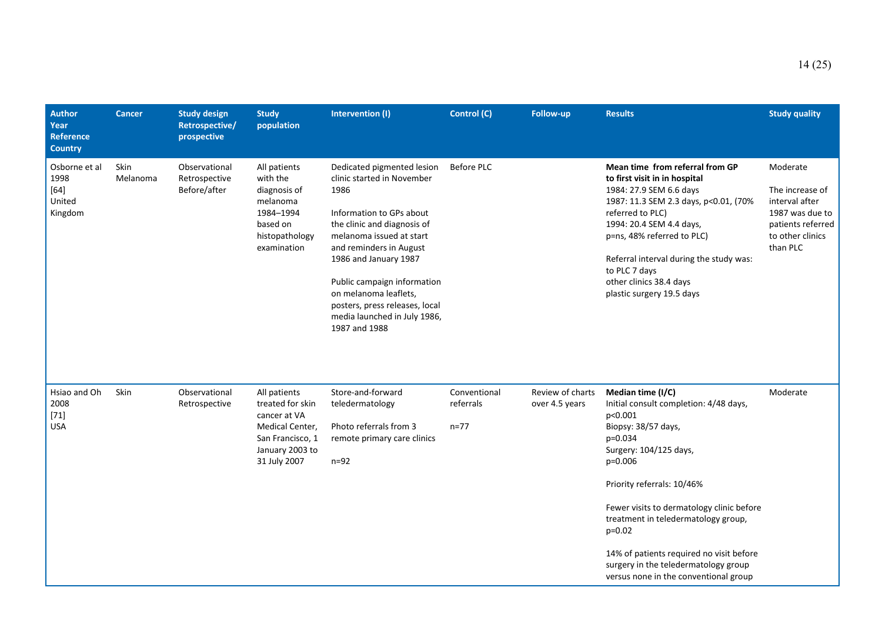| <b>Author</b><br>Year<br>Reference<br><b>Country</b> | Cancer           | <b>Study design</b><br>Retrospective/<br>prospective | <b>Study</b><br>population                                                                                                 | Intervention (I)                                                                                                                                                                                                                                                                                                                                       | <b>Control (C)</b>                    | Follow-up                          | <b>Results</b>                                                                                                                                                                                                                                                                                                                                                                                           | <b>Study quality</b>                                                                                                  |
|------------------------------------------------------|------------------|------------------------------------------------------|----------------------------------------------------------------------------------------------------------------------------|--------------------------------------------------------------------------------------------------------------------------------------------------------------------------------------------------------------------------------------------------------------------------------------------------------------------------------------------------------|---------------------------------------|------------------------------------|----------------------------------------------------------------------------------------------------------------------------------------------------------------------------------------------------------------------------------------------------------------------------------------------------------------------------------------------------------------------------------------------------------|-----------------------------------------------------------------------------------------------------------------------|
| Osborne et al<br>1998<br>$[64]$<br>United<br>Kingdom | Skin<br>Melanoma | Observational<br>Retrospective<br>Before/after       | All patients<br>with the<br>diagnosis of<br>melanoma<br>1984-1994<br>based on<br>histopathology<br>examination             | Dedicated pigmented lesion<br>clinic started in November<br>1986<br>Information to GPs about<br>the clinic and diagnosis of<br>melanoma issued at start<br>and reminders in August<br>1986 and January 1987<br>Public campaign information<br>on melanoma leaflets,<br>posters, press releases, local<br>media launched in July 1986,<br>1987 and 1988 | <b>Before PLC</b>                     |                                    | Mean time from referral from GP<br>to first visit in in hospital<br>1984: 27.9 SEM 6.6 days<br>1987: 11.3 SEM 2.3 days, p<0.01, (70%<br>referred to PLC)<br>1994: 20.4 SEM 4.4 days,<br>p=ns, 48% referred to PLC)<br>Referral interval during the study was:<br>to PLC 7 days<br>other clinics 38.4 days<br>plastic surgery 19.5 days                                                                   | Moderate<br>The increase of<br>interval after<br>1987 was due to<br>patients referred<br>to other clinics<br>than PLC |
| Hsiao and Oh<br>2008<br>$[71]$<br><b>USA</b>         | Skin             | Observational<br>Retrospective                       | All patients<br>treated for skin<br>cancer at VA<br>Medical Center,<br>San Francisco, 1<br>January 2003 to<br>31 July 2007 | Store-and-forward<br>teledermatology<br>Photo referrals from 3<br>remote primary care clinics<br>$n=92$                                                                                                                                                                                                                                                | Conventional<br>referrals<br>$n = 77$ | Review of charts<br>over 4.5 years | Median time (I/C)<br>Initial consult completion: 4/48 days,<br>p<0.001<br>Biopsy: 38/57 days,<br>p=0.034<br>Surgery: 104/125 days,<br>p=0.006<br>Priority referrals: 10/46%<br>Fewer visits to dermatology clinic before<br>treatment in teledermatology group,<br>$p=0.02$<br>14% of patients required no visit before<br>surgery in the teledermatology group<br>versus none in the conventional group | Moderate                                                                                                              |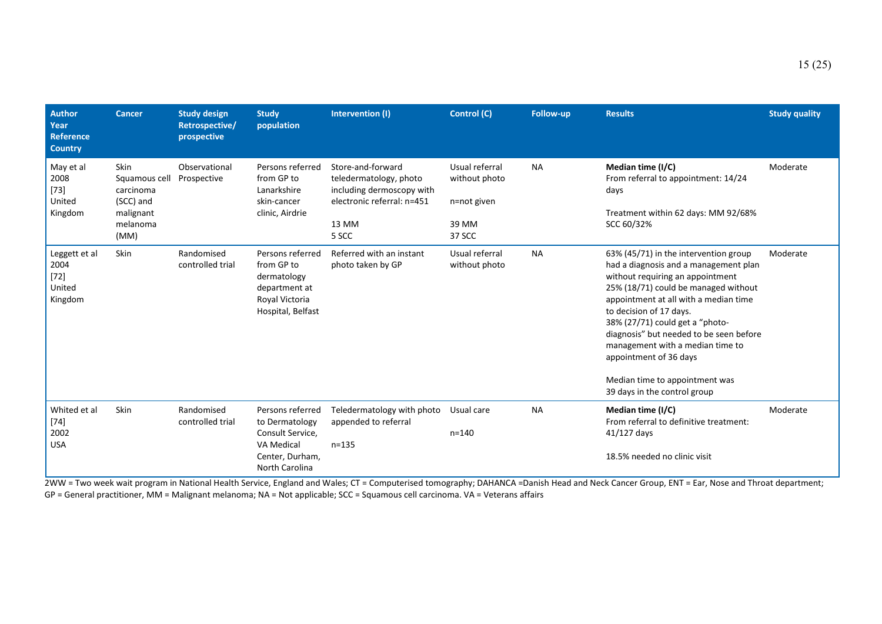| <b>Author</b><br>Year<br><b>Reference</b><br><b>Country</b> | <b>Cancer</b>                                                                           | <b>Study design</b><br>Retrospective/<br>prospective | <b>Study</b><br>population                                                                                       | Intervention (I)                                                                                                         | Control (C)                                                       | Follow-up | <b>Results</b>                                                                                                                                                                                                                                                                                                                                                                                                                               | <b>Study quality</b> |
|-------------------------------------------------------------|-----------------------------------------------------------------------------------------|------------------------------------------------------|------------------------------------------------------------------------------------------------------------------|--------------------------------------------------------------------------------------------------------------------------|-------------------------------------------------------------------|-----------|----------------------------------------------------------------------------------------------------------------------------------------------------------------------------------------------------------------------------------------------------------------------------------------------------------------------------------------------------------------------------------------------------------------------------------------------|----------------------|
| May et al<br>2008<br>$[73]$<br>United<br>Kingdom            | <b>Skin</b><br>Squamous cell<br>carcinoma<br>(SCC) and<br>malignant<br>melanoma<br>(MM) | Observational<br>Prospective                         | Persons referred<br>from GP to<br>Lanarkshire<br>skin-cancer<br>clinic, Airdrie                                  | Store-and-forward<br>teledermatology, photo<br>including dermoscopy with<br>electronic referral: n=451<br>13 MM<br>5 SCC | Usual referral<br>without photo<br>n=not given<br>39 MM<br>37 SCC | <b>NA</b> | Median time (I/C)<br>From referral to appointment: 14/24<br>days<br>Treatment within 62 days: MM 92/68%<br>SCC 60/32%                                                                                                                                                                                                                                                                                                                        | Moderate             |
| Leggett et al<br>2004<br>$[72]$<br>United<br>Kingdom        | <b>Skin</b>                                                                             | Randomised<br>controlled trial                       | Persons referred<br>from GP to<br>dermatology<br>department at<br>Royal Victoria<br>Hospital, Belfast            | Referred with an instant<br>photo taken by GP                                                                            | Usual referral<br>without photo                                   | <b>NA</b> | 63% (45/71) in the intervention group<br>had a diagnosis and a management plan<br>without requiring an appointment<br>25% (18/71) could be managed without<br>appointment at all with a median time<br>to decision of 17 days.<br>38% (27/71) could get a "photo-<br>diagnosis" but needed to be seen before<br>management with a median time to<br>appointment of 36 days<br>Median time to appointment was<br>39 days in the control group | Moderate             |
| Whited et al<br>$[74]$<br>2002<br><b>USA</b>                | Skin                                                                                    | Randomised<br>controlled trial                       | Persons referred<br>to Dermatology<br>Consult Service,<br><b>VA Medical</b><br>Center, Durham,<br>North Carolina | Teledermatology with photo<br>appended to referral<br>$n = 135$                                                          | Usual care<br>$n = 140$                                           | <b>NA</b> | Median time (I/C)<br>From referral to definitive treatment:<br>$41/127$ days<br>18.5% needed no clinic visit                                                                                                                                                                                                                                                                                                                                 | Moderate             |

2WW = Two week wait program in National Health Service, England and Wales; CT = Computerised tomography; DAHANCA =Danish Head and Neck Cancer Group, ENT = Ear, Nose and Throat department; GP = General practitioner, MM = Malignant melanoma; NA = Not applicable; SCC = Squamous cell carcinoma. VA = Veterans affairs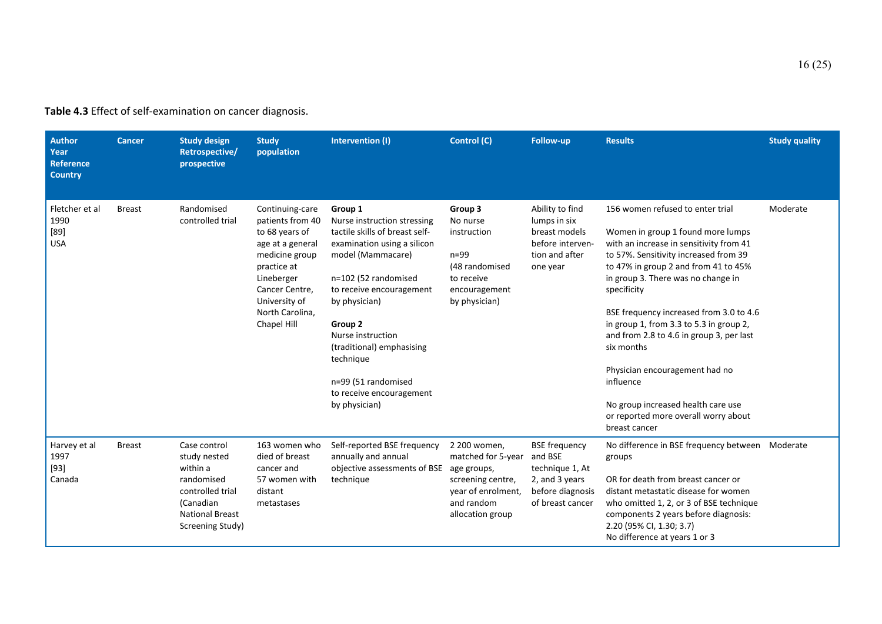**Table 4.3** Effect of self-examination on cancer diagnosis.

| <b>Author</b><br>Year<br><b>Reference</b><br><b>Country</b> | <b>Cancer</b> | <b>Study design</b><br>Retrospective/<br>prospective                                                                                  | <b>Study</b><br>population                                                                                                                                                                    | Intervention (I)                                                                                                                                                                                                                                                                                                                                | Control (C)                                                                                                                    | <b>Follow-up</b>                                                                                             | <b>Results</b>                                                                                                                                                                                                                                                                                                                                                                                                                                                                                                                                       | <b>Study quality</b> |
|-------------------------------------------------------------|---------------|---------------------------------------------------------------------------------------------------------------------------------------|-----------------------------------------------------------------------------------------------------------------------------------------------------------------------------------------------|-------------------------------------------------------------------------------------------------------------------------------------------------------------------------------------------------------------------------------------------------------------------------------------------------------------------------------------------------|--------------------------------------------------------------------------------------------------------------------------------|--------------------------------------------------------------------------------------------------------------|------------------------------------------------------------------------------------------------------------------------------------------------------------------------------------------------------------------------------------------------------------------------------------------------------------------------------------------------------------------------------------------------------------------------------------------------------------------------------------------------------------------------------------------------------|----------------------|
| Fletcher et al<br>1990<br>$[89]$<br><b>USA</b>              | <b>Breast</b> | Randomised<br>controlled trial                                                                                                        | Continuing-care<br>patients from 40<br>to 68 years of<br>age at a general<br>medicine group<br>practice at<br>Lineberger<br>Cancer Centre,<br>University of<br>North Carolina,<br>Chapel Hill | Group 1<br>Nurse instruction stressing<br>tactile skills of breast self-<br>examination using a silicon<br>model (Mammacare)<br>n=102 (52 randomised<br>to receive encouragement<br>by physician)<br>Group 2<br>Nurse instruction<br>(traditional) emphasising<br>technique<br>n=99 (51 randomised<br>to receive encouragement<br>by physician) | Group 3<br>No nurse<br>instruction<br>$n=99$<br>(48 randomised<br>to receive<br>encouragement<br>by physician)                 | Ability to find<br>lumps in six<br>breast models<br>before interven-<br>tion and after<br>one year           | 156 women refused to enter trial<br>Women in group 1 found more lumps<br>with an increase in sensitivity from 41<br>to 57%. Sensitivity increased from 39<br>to 47% in group 2 and from 41 to 45%<br>in group 3. There was no change in<br>specificity<br>BSE frequency increased from 3.0 to 4.6<br>in group 1, from 3.3 to 5.3 in group 2,<br>and from 2.8 to 4.6 in group 3, per last<br>six months<br>Physician encouragement had no<br>influence<br>No group increased health care use<br>or reported more overall worry about<br>breast cancer | Moderate             |
| Harvey et al<br>1997<br>$[93]$<br>Canada                    | <b>Breast</b> | Case control<br>study nested<br>within a<br>randomised<br>controlled trial<br>(Canadian<br><b>National Breast</b><br>Screening Study) | 163 women who<br>died of breast<br>cancer and<br>57 women with<br>distant<br>metastases                                                                                                       | Self-reported BSE frequency<br>annually and annual<br>objective assessments of BSE<br>technique                                                                                                                                                                                                                                                 | 2 200 women,<br>matched for 5-year<br>age groups,<br>screening centre,<br>year of enrolment,<br>and random<br>allocation group | <b>BSE</b> frequency<br>and BSE<br>technique 1, At<br>2, and 3 years<br>before diagnosis<br>of breast cancer | No difference in BSE frequency between Moderate<br>groups<br>OR for death from breast cancer or<br>distant metastatic disease for women<br>who omitted 1, 2, or 3 of BSE technique<br>components 2 years before diagnosis:<br>2.20 (95% CI, 1.30; 3.7)<br>No difference at years 1 or 3                                                                                                                                                                                                                                                              |                      |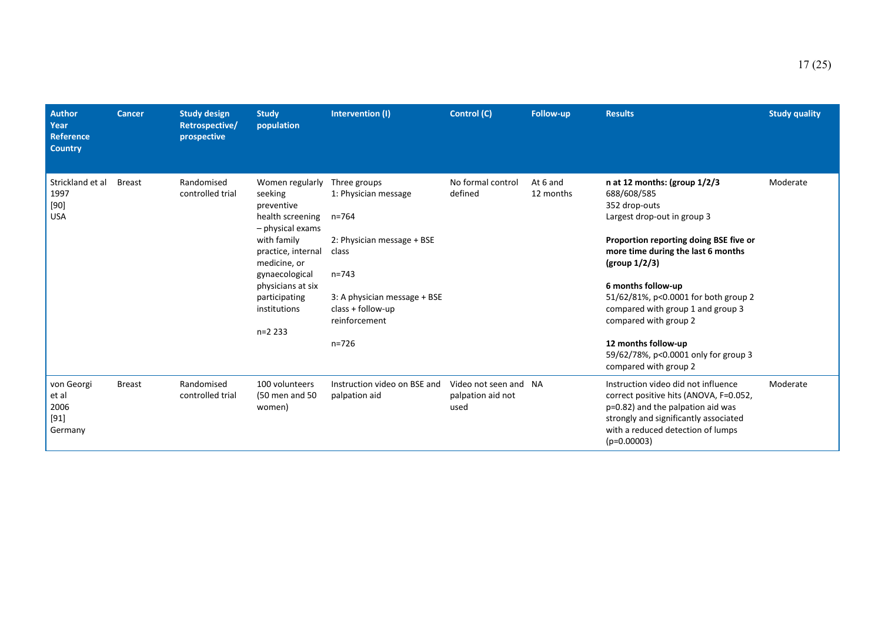| <b>Author</b><br>Year<br><b>Reference</b><br><b>Country</b> | <b>Cancer</b> | <b>Study design</b><br><b>Retrospective/</b><br>prospective | <b>Study</b><br>population                                                                                                                                                                                                | Intervention (I)                                                                                                                                                                           | Control (C)                                        | <b>Follow-up</b>      | <b>Results</b>                                                                                                                                                                                                                                                                                                                                                                                                      | <b>Study quality</b> |
|-------------------------------------------------------------|---------------|-------------------------------------------------------------|---------------------------------------------------------------------------------------------------------------------------------------------------------------------------------------------------------------------------|--------------------------------------------------------------------------------------------------------------------------------------------------------------------------------------------|----------------------------------------------------|-----------------------|---------------------------------------------------------------------------------------------------------------------------------------------------------------------------------------------------------------------------------------------------------------------------------------------------------------------------------------------------------------------------------------------------------------------|----------------------|
| Strickland et al<br>1997<br>$[90]$<br><b>USA</b>            | <b>Breast</b> | Randomised<br>controlled trial                              | Women regularly<br>seeking<br>preventive<br>health screening<br>- physical exams<br>with family<br>practice, internal<br>medicine, or<br>gynaecological<br>physicians at six<br>participating<br>institutions<br>$n=2233$ | Three groups<br>1: Physician message<br>$n = 764$<br>2: Physician message + BSE<br>class<br>$n = 743$<br>3: A physician message $+$ BSE<br>class + follow-up<br>reinforcement<br>$n = 726$ | No formal control<br>defined                       | At 6 and<br>12 months | n at 12 months: (group 1/2/3<br>688/608/585<br>352 drop-outs<br>Largest drop-out in group 3<br>Proportion reporting doing BSE five or<br>more time during the last 6 months<br>(group $1/2/3$ )<br>6 months follow-up<br>51/62/81%, p<0.0001 for both group 2<br>compared with group 1 and group 3<br>compared with group 2<br>12 months follow-up<br>59/62/78%, p<0.0001 only for group 3<br>compared with group 2 | Moderate             |
| von Georgi<br>et al<br>2006<br>$[91]$<br>Germany            | <b>Breast</b> | Randomised<br>controlled trial                              | 100 volunteers<br>(50 men and 50<br>women)                                                                                                                                                                                | Instruction video on BSE and<br>palpation aid                                                                                                                                              | Video not seen and NA<br>palpation aid not<br>used |                       | Instruction video did not influence<br>correct positive hits (ANOVA, F=0.052,<br>p=0.82) and the palpation aid was<br>strongly and significantly associated<br>with a reduced detection of lumps<br>$(p=0.00003)$                                                                                                                                                                                                   | Moderate             |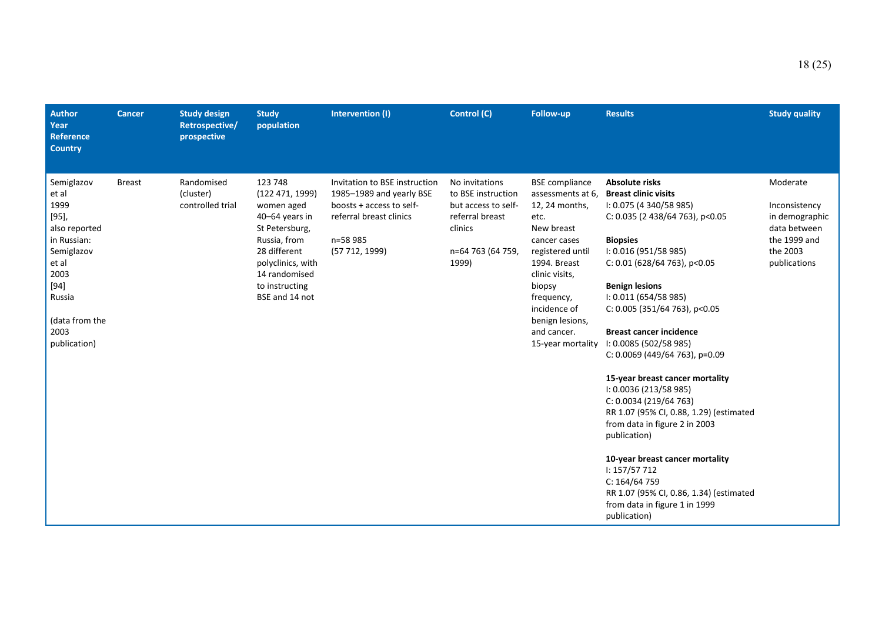| <b>Author</b><br>Year<br><b>Reference</b><br><b>Country</b>                                                                                                     | <b>Cancer</b> | <b>Study design</b><br>Retrospective/<br>prospective | <b>Study</b><br>population                                                                                                                                                            | Intervention (I)                                                                                                                               | Control (C)                                                                                                             | <b>Follow-up</b>                                                                                                                                                                                                                                        | <b>Results</b>                                                                                                                                                                                                                                                                                                                                                                                                                                                                                                                                                                                                                                                                                                                         | <b>Study quality</b>                                                                                    |
|-----------------------------------------------------------------------------------------------------------------------------------------------------------------|---------------|------------------------------------------------------|---------------------------------------------------------------------------------------------------------------------------------------------------------------------------------------|------------------------------------------------------------------------------------------------------------------------------------------------|-------------------------------------------------------------------------------------------------------------------------|---------------------------------------------------------------------------------------------------------------------------------------------------------------------------------------------------------------------------------------------------------|----------------------------------------------------------------------------------------------------------------------------------------------------------------------------------------------------------------------------------------------------------------------------------------------------------------------------------------------------------------------------------------------------------------------------------------------------------------------------------------------------------------------------------------------------------------------------------------------------------------------------------------------------------------------------------------------------------------------------------------|---------------------------------------------------------------------------------------------------------|
| Semiglazov<br>et al<br>1999<br>[95],<br>also reported<br>in Russian:<br>Semiglazov<br>et al<br>2003<br>[94]<br>Russia<br>(data from the<br>2003<br>publication) | <b>Breast</b> | Randomised<br>(cluster)<br>controlled trial          | 123 748<br>(122471, 1999)<br>women aged<br>40-64 years in<br>St Petersburg,<br>Russia, from<br>28 different<br>polyclinics, with<br>14 randomised<br>to instructing<br>BSE and 14 not | Invitation to BSE instruction<br>1985-1989 and yearly BSE<br>boosts + access to self-<br>referral breast clinics<br>n=58 985<br>(57 712, 1999) | No invitations<br>to BSE instruction<br>but access to self-<br>referral breast<br>clinics<br>n=64 763 (64 759,<br>1999) | <b>BSE</b> compliance<br>assessments at 6,<br>12, 24 months,<br>etc.<br>New breast<br>cancer cases<br>registered until<br>1994. Breast<br>clinic visits,<br>biopsy<br>frequency,<br>incidence of<br>benign lesions,<br>and cancer.<br>15-year mortality | <b>Absolute risks</b><br><b>Breast clinic visits</b><br>I: 0.075 (4 340/58 985)<br>C: $0.035$ (2 438/64 763), p<0.05<br><b>Biopsies</b><br>I: 0.016 (951/58 985)<br>$C: 0.01$ (628/64 763), p<0.05<br><b>Benign lesions</b><br>1: 0.011 (654/58 985)<br>C: 0.005 (351/64 763), p<0.05<br><b>Breast cancer incidence</b><br>I: 0.0085 (502/58 985)<br>C: 0.0069 (449/64 763), p=0.09<br>15-year breast cancer mortality<br>I: 0.0036 (213/58 985)<br>C: 0.0034 (219/64 763)<br>RR 1.07 (95% CI, 0.88, 1.29) (estimated<br>from data in figure 2 in 2003<br>publication)<br>10-year breast cancer mortality<br>I: 157/57 712<br>C: 164/64759<br>RR 1.07 (95% CI, 0.86, 1.34) (estimated<br>from data in figure 1 in 1999<br>publication) | Moderate<br>Inconsistency<br>in demographic<br>data between<br>the 1999 and<br>the 2003<br>publications |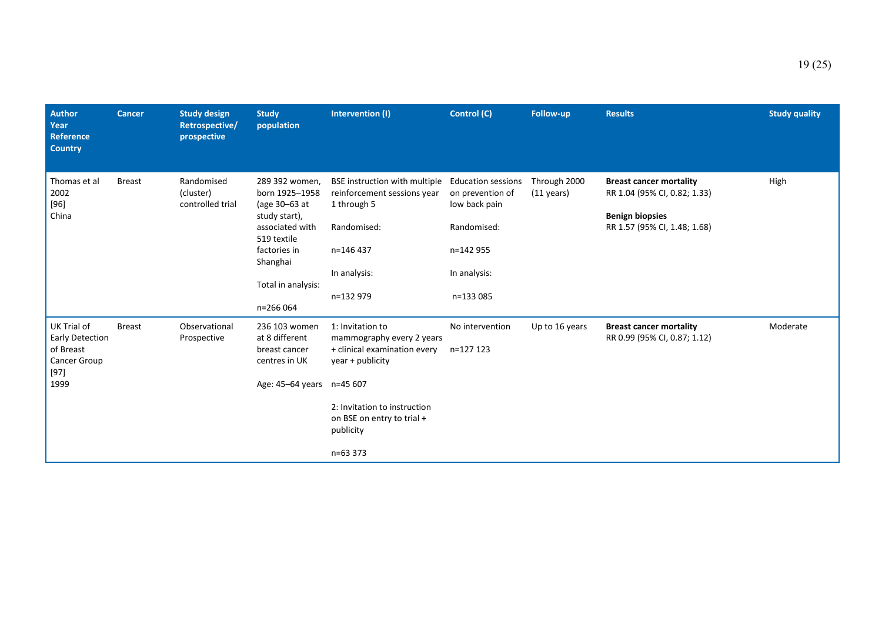| <b>Author</b><br>Year<br><b>Reference</b><br><b>Country</b>                   | <b>Cancer</b> | <b>Study design</b><br>Retrospective/<br>prospective | <b>Study</b><br>population                                                                                                                                          | Intervention (I)                                                                                                                                                                                     | Control (C)                                                                                                             | <b>Follow-up</b>                     | <b>Results</b>                                                                                                           | <b>Study quality</b> |
|-------------------------------------------------------------------------------|---------------|------------------------------------------------------|---------------------------------------------------------------------------------------------------------------------------------------------------------------------|------------------------------------------------------------------------------------------------------------------------------------------------------------------------------------------------------|-------------------------------------------------------------------------------------------------------------------------|--------------------------------------|--------------------------------------------------------------------------------------------------------------------------|----------------------|
| Thomas et al<br>2002<br>$[96]$<br>China                                       | <b>Breast</b> | Randomised<br>(cluster)<br>controlled trial          | 289 392 women,<br>born 1925-1958<br>(age 30–63 at<br>study start),<br>associated with<br>519 textile<br>factories in<br>Shanghai<br>Total in analysis:<br>n=266 064 | BSE instruction with multiple<br>reinforcement sessions year<br>1 through 5<br>Randomised:<br>n=146 437<br>In analysis:<br>n=132 979                                                                 | <b>Education sessions</b><br>on prevention of<br>low back pain<br>Randomised:<br>n=142 955<br>In analysis:<br>n=133 085 | Through 2000<br>$(11 \text{ years})$ | <b>Breast cancer mortality</b><br>RR 1.04 (95% CI, 0.82; 1.33)<br><b>Benign biopsies</b><br>RR 1.57 (95% CI, 1.48; 1.68) | High                 |
| UK Trial of<br>Early Detection<br>of Breast<br>Cancer Group<br>$[97]$<br>1999 | <b>Breast</b> | Observational<br>Prospective                         | 236 103 women<br>at 8 different<br>breast cancer<br>centres in UK<br>Age: 45–64 years                                                                               | 1: Invitation to<br>mammography every 2 years<br>+ clinical examination every<br>year + publicity<br>n=45 607<br>2: Invitation to instruction<br>on BSE on entry to trial +<br>publicity<br>n=63 373 | No intervention<br>n=127 123                                                                                            | Up to 16 years                       | <b>Breast cancer mortality</b><br>RR 0.99 (95% CI, 0.87; 1.12)                                                           | Moderate             |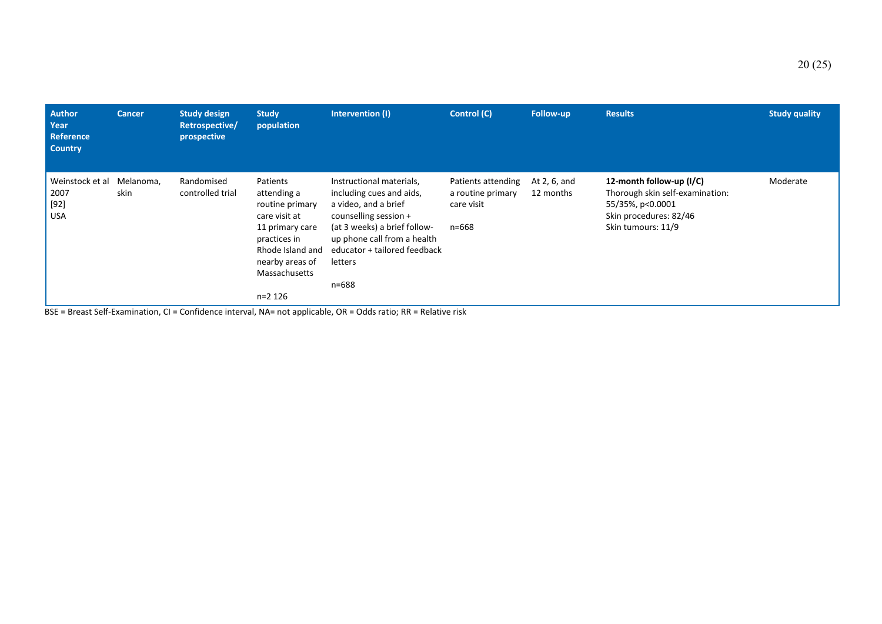| <b>Author</b><br>Year<br><b>Reference</b><br><b>Country</b> | <b>Cancer</b>     | <b>Study design</b><br>Retrospective/<br>prospective | <b>Study</b><br>population                                                                                                                                          | Intervention (I)                                                                                                                                                                                                         | Control (C)                                                    | Follow-up                 | <b>Results</b>                                                                                                                  | <b>Study quality</b> |
|-------------------------------------------------------------|-------------------|------------------------------------------------------|---------------------------------------------------------------------------------------------------------------------------------------------------------------------|--------------------------------------------------------------------------------------------------------------------------------------------------------------------------------------------------------------------------|----------------------------------------------------------------|---------------------------|---------------------------------------------------------------------------------------------------------------------------------|----------------------|
| Weinstock et al<br>2007<br>$[92]$<br><b>USA</b>             | Melanoma,<br>skin | Randomised<br>controlled trial                       | Patients<br>attending a<br>routine primary<br>care visit at<br>11 primary care<br>practices in<br>Rhode Island and<br>nearby areas of<br>Massachusetts<br>$n=2$ 126 | Instructional materials,<br>including cues and aids,<br>a video, and a brief<br>counselling session +<br>(at 3 weeks) a brief follow-<br>up phone call from a health<br>educator + tailored feedback<br>letters<br>n=688 | Patients attending<br>a routine primary<br>care visit<br>n=668 | At 2, 6, and<br>12 months | 12-month follow-up (I/C)<br>Thorough skin self-examination:<br>55/35%, p<0.0001<br>Skin procedures: 82/46<br>Skin tumours: 11/9 | Moderate             |

BSE = Breast Self-Examination, CI = Confidence interval, NA= not applicable, OR = Odds ratio; RR = Relative risk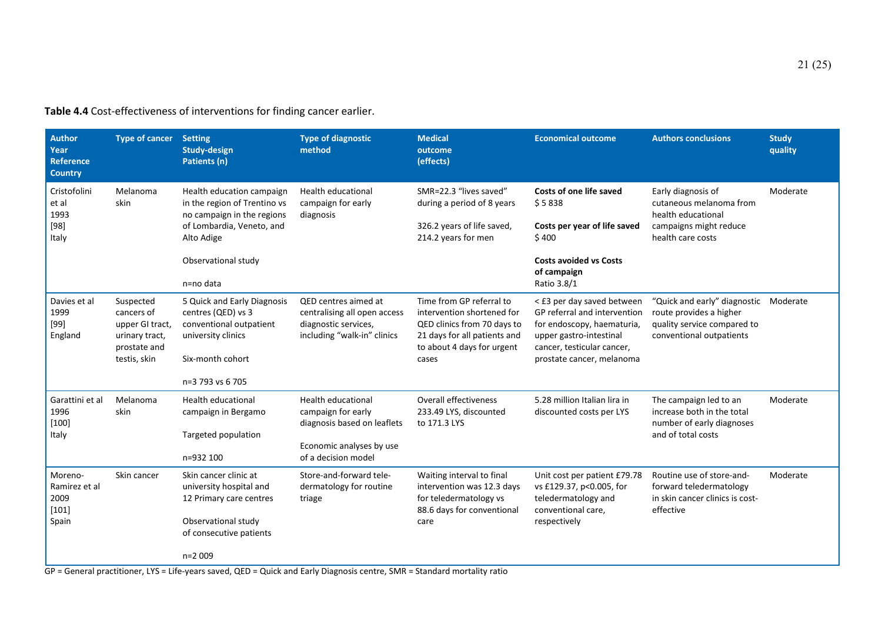| <b>Author</b><br>Year<br><b>Reference</b><br><b>Country</b> | <b>Type of cancer</b>                                                                        | <b>Setting</b><br><b>Study-design</b><br>Patients (n)                                                                                      | <b>Type of diagnostic</b><br>method                                                                                               | <b>Medical</b><br>outcome<br>(effects)                                                                                                                       | <b>Economical outcome</b>                                                                                                                                                      | <b>Authors conclusions</b>                                                                                         | <b>Study</b><br>quality |
|-------------------------------------------------------------|----------------------------------------------------------------------------------------------|--------------------------------------------------------------------------------------------------------------------------------------------|-----------------------------------------------------------------------------------------------------------------------------------|--------------------------------------------------------------------------------------------------------------------------------------------------------------|--------------------------------------------------------------------------------------------------------------------------------------------------------------------------------|--------------------------------------------------------------------------------------------------------------------|-------------------------|
| Cristofolini<br>et al<br>1993<br>$[98]$<br>Italy            | Melanoma<br>skin                                                                             | Health education campaign<br>in the region of Trentino vs<br>no campaign in the regions<br>of Lombardia, Veneto, and<br>Alto Adige         | <b>Health educational</b><br>campaign for early<br>diagnosis                                                                      | SMR=22.3 "lives saved"<br>during a period of 8 years<br>326.2 years of life saved,<br>214.2 years for men                                                    | Costs of one life saved<br>\$5838<br>Costs per year of life saved<br>\$400                                                                                                     | Early diagnosis of<br>cutaneous melanoma from<br>health educational<br>campaigns might reduce<br>health care costs | Moderate                |
|                                                             |                                                                                              | Observational study<br>n=no data                                                                                                           |                                                                                                                                   |                                                                                                                                                              | <b>Costs avoided vs Costs</b><br>of campaign<br>Ratio 3.8/1                                                                                                                    |                                                                                                                    |                         |
| Davies et al<br>1999<br>$[99]$<br>England                   | Suspected<br>cancers of<br>upper GI tract,<br>urinary tract,<br>prostate and<br>testis, skin | 5 Quick and Early Diagnosis<br>centres (QED) vs 3<br>conventional outpatient<br>university clinics<br>Six-month cohort<br>n=3 793 vs 6 705 | QED centres aimed at<br>centralising all open access<br>diagnostic services,<br>including "walk-in" clinics                       | Time from GP referral to<br>intervention shortened for<br>QED clinics from 70 days to<br>21 days for all patients and<br>to about 4 days for urgent<br>cases | < £3 per day saved between<br>GP referral and intervention<br>for endoscopy, haematuria,<br>upper gastro-intestinal<br>cancer, testicular cancer,<br>prostate cancer, melanoma | "Quick and early" diagnostic<br>route provides a higher<br>quality service compared to<br>conventional outpatients | Moderate                |
| Garattini et al<br>1996<br>$[100]$<br>Italy                 | Melanoma<br>skin                                                                             | <b>Health educational</b><br>campaign in Bergamo<br>Targeted population<br>n=932 100                                                       | <b>Health educational</b><br>campaign for early<br>diagnosis based on leaflets<br>Economic analyses by use<br>of a decision model | <b>Overall effectiveness</b><br>233.49 LYS, discounted<br>to 171.3 LYS                                                                                       | 5.28 million Italian lira in<br>discounted costs per LYS                                                                                                                       | The campaign led to an<br>increase both in the total<br>number of early diagnoses<br>and of total costs            | Moderate                |
| Moreno-<br>Ramirez et al<br>2009<br>$[101]$<br>Spain        | Skin cancer                                                                                  | Skin cancer clinic at<br>university hospital and<br>12 Primary care centres<br>Observational study<br>of consecutive patients              | Store-and-forward tele-<br>dermatology for routine<br>triage                                                                      | Waiting interval to final<br>intervention was 12.3 days<br>for teledermatology vs<br>88.6 days for conventional<br>care                                      | Unit cost per patient £79.78<br>vs £129.37, p<0.005, for<br>teledermatology and<br>conventional care,<br>respectively                                                          | Routine use of store-and-<br>forward teledermatology<br>in skin cancer clinics is cost-<br>effective               | Moderate                |
|                                                             |                                                                                              | $n=2009$                                                                                                                                   |                                                                                                                                   |                                                                                                                                                              |                                                                                                                                                                                |                                                                                                                    |                         |

**Table 4.4** Cost-effectiveness of interventions for finding cancer earlier.

GP = General practitioner, LYS = Life-years saved, QED = Quick and Early Diagnosis centre, SMR = Standard mortality ratio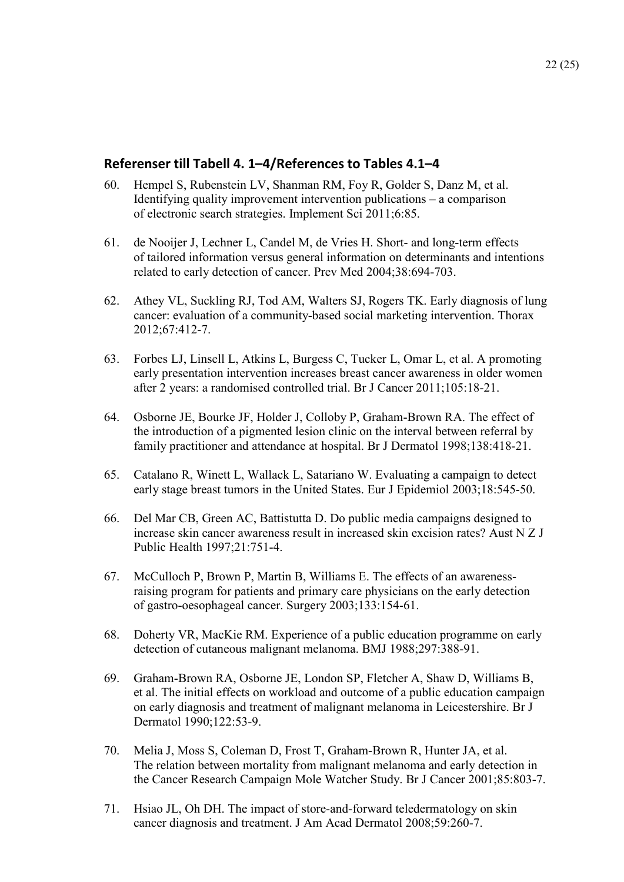## **Referenser till Tabell 4. 1–4/References to Tables 4.1–4**

- 60. Hempel S, Rubenstein LV, Shanman RM, Foy R, Golder S, Danz M, et al. Identifying quality improvement intervention publications – a comparison of electronic search strategies. Implement Sci 2011;6:85.
- 61. de Nooijer J, Lechner L, Candel M, de Vries H. Short- and long-term effects of tailored information versus general information on determinants and intentions related to early detection of cancer. Prev Med 2004;38:694-703.
- 62. Athey VL, Suckling RJ, Tod AM, Walters SJ, Rogers TK. Early diagnosis of lung cancer: evaluation of a community-based social marketing intervention. Thorax 2012;67:412-7.
- 63. Forbes LJ, Linsell L, Atkins L, Burgess C, Tucker L, Omar L, et al. A promoting early presentation intervention increases breast cancer awareness in older women after 2 years: a randomised controlled trial. Br J Cancer 2011;105:18-21.
- 64. Osborne JE, Bourke JF, Holder J, Colloby P, Graham-Brown RA. The effect of the introduction of a pigmented lesion clinic on the interval between referral by family practitioner and attendance at hospital. Br J Dermatol 1998;138:418-21.
- 65. Catalano R, Winett L, Wallack L, Satariano W. Evaluating a campaign to detect early stage breast tumors in the United States. Eur J Epidemiol 2003;18:545-50.
- 66. Del Mar CB, Green AC, Battistutta D. Do public media campaigns designed to increase skin cancer awareness result in increased skin excision rates? Aust N Z J Public Health 1997;21:751-4.
- 67. McCulloch P, Brown P, Martin B, Williams E. The effects of an awarenessraising program for patients and primary care physicians on the early detection of gastro-oesophageal cancer. Surgery 2003;133:154-61.
- 68. Doherty VR, MacKie RM. Experience of a public education programme on early detection of cutaneous malignant melanoma. BMJ 1988;297:388-91.
- 69. Graham-Brown RA, Osborne JE, London SP, Fletcher A, Shaw D, Williams B, et al. The initial effects on workload and outcome of a public education campaign on early diagnosis and treatment of malignant melanoma in Leicestershire. Br J Dermatol 1990;122:53-9.
- 70. Melia J, Moss S, Coleman D, Frost T, Graham-Brown R, Hunter JA, et al. The relation between mortality from malignant melanoma and early detection in the Cancer Research Campaign Mole Watcher Study. Br J Cancer 2001;85:803-7.
- 71. Hsiao JL, Oh DH. The impact of store-and-forward teledermatology on skin cancer diagnosis and treatment. J Am Acad Dermatol 2008;59:260-7.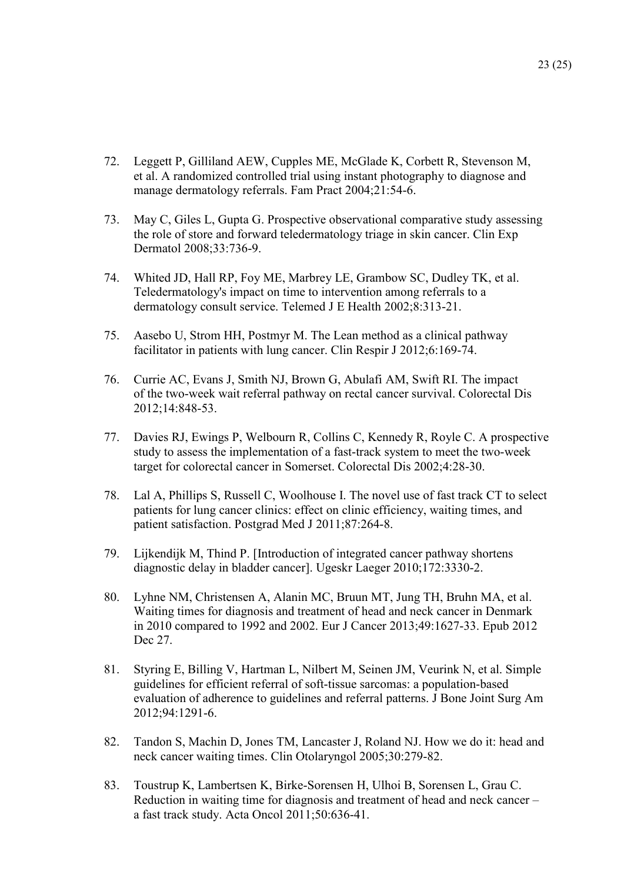- 72. Leggett P, Gilliland AEW, Cupples ME, McGlade K, Corbett R, Stevenson M, et al. A randomized controlled trial using instant photography to diagnose and manage dermatology referrals. Fam Pract 2004;21:54-6.
- 73. May C, Giles L, Gupta G. Prospective observational comparative study assessing the role of store and forward teledermatology triage in skin cancer. Clin Exp Dermatol 2008;33:736-9.
- 74. Whited JD, Hall RP, Foy ME, Marbrey LE, Grambow SC, Dudley TK, et al. Teledermatology's impact on time to intervention among referrals to a dermatology consult service. Telemed J E Health 2002;8:313-21.
- 75. Aasebo U, Strom HH, Postmyr M. The Lean method as a clinical pathway facilitator in patients with lung cancer. Clin Respir J 2012;6:169-74.
- 76. Currie AC, Evans J, Smith NJ, Brown G, Abulafi AM, Swift RI. The impact of the two-week wait referral pathway on rectal cancer survival. Colorectal Dis 2012;14:848-53.
- 77. Davies RJ, Ewings P, Welbourn R, Collins C, Kennedy R, Royle C. A prospective study to assess the implementation of a fast-track system to meet the two-week target for colorectal cancer in Somerset. Colorectal Dis 2002;4:28-30.
- 78. Lal A, Phillips S, Russell C, Woolhouse I. The novel use of fast track CT to select patients for lung cancer clinics: effect on clinic efficiency, waiting times, and patient satisfaction. Postgrad Med J 2011;87:264-8.
- 79. Lijkendijk M, Thind P. [Introduction of integrated cancer pathway shortens diagnostic delay in bladder cancer]. Ugeskr Laeger 2010;172:3330-2.
- 80. Lyhne NM, Christensen A, Alanin MC, Bruun MT, Jung TH, Bruhn MA, et al. Waiting times for diagnosis and treatment of head and neck cancer in Denmark in 2010 compared to 1992 and 2002. Eur J Cancer 2013;49:1627-33. Epub 2012 Dec 27.
- 81. Styring E, Billing V, Hartman L, Nilbert M, Seinen JM, Veurink N, et al. Simple guidelines for efficient referral of soft-tissue sarcomas: a population-based evaluation of adherence to guidelines and referral patterns. J Bone Joint Surg Am 2012;94:1291-6.
- 82. Tandon S, Machin D, Jones TM, Lancaster J, Roland NJ. How we do it: head and neck cancer waiting times. Clin Otolaryngol 2005;30:279-82.
- 83. Toustrup K, Lambertsen K, Birke-Sorensen H, Ulhoi B, Sorensen L, Grau C. Reduction in waiting time for diagnosis and treatment of head and neck cancer – a fast track study. Acta Oncol 2011;50:636-41.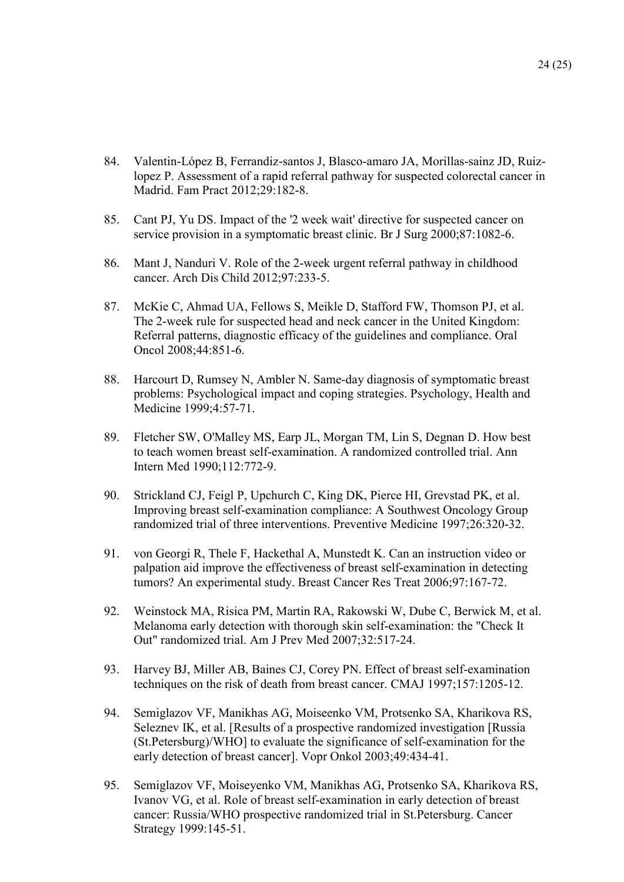- 84. Valentin-López B, Ferrandiz-santos J, Blasco-amaro JA, Morillas-sainz JD, Ruizlopez P. Assessment of a rapid referral pathway for suspected colorectal cancer in Madrid. Fam Pract 2012;29:182-8.
- 85. Cant PJ, Yu DS. Impact of the '2 week wait' directive for suspected cancer on service provision in a symptomatic breast clinic. Br J Surg 2000;87:1082-6.
- 86. Mant J, Nanduri V. Role of the 2-week urgent referral pathway in childhood cancer. Arch Dis Child 2012;97:233-5.
- 87. McKie C, Ahmad UA, Fellows S, Meikle D, Stafford FW, Thomson PJ, et al. The 2-week rule for suspected head and neck cancer in the United Kingdom: Referral patterns, diagnostic efficacy of the guidelines and compliance. Oral Oncol 2008;44:851-6.
- 88. Harcourt D, Rumsey N, Ambler N. Same-day diagnosis of symptomatic breast problems: Psychological impact and coping strategies. Psychology, Health and Medicine 1999;4:57-71.
- 89. Fletcher SW, O'Malley MS, Earp JL, Morgan TM, Lin S, Degnan D. How best to teach women breast self-examination. A randomized controlled trial. Ann Intern Med 1990;112:772-9.
- 90. Strickland CJ, Feigl P, Upchurch C, King DK, Pierce HI, Grevstad PK, et al. Improving breast self-examination compliance: A Southwest Oncology Group randomized trial of three interventions. Preventive Medicine 1997;26:320-32.
- 91. von Georgi R, Thele F, Hackethal A, Munstedt K. Can an instruction video or palpation aid improve the effectiveness of breast self-examination in detecting tumors? An experimental study. Breast Cancer Res Treat 2006;97:167-72.
- 92. Weinstock MA, Risica PM, Martin RA, Rakowski W, Dube C, Berwick M, et al. Melanoma early detection with thorough skin self-examination: the "Check It Out" randomized trial. Am J Prev Med 2007;32:517-24.
- 93. Harvey BJ, Miller AB, Baines CJ, Corey PN. Effect of breast self-examination techniques on the risk of death from breast cancer. CMAJ 1997;157:1205-12.
- 94. Semiglazov VF, Manikhas AG, Moiseenko VM, Protsenko SA, Kharikova RS, Seleznev IK, et al. [Results of a prospective randomized investigation [Russia (St.Petersburg)/WHO] to evaluate the significance of self-examination for the early detection of breast cancer]. Vopr Onkol 2003;49:434-41.
- 95. Semiglazov VF, Moiseyenko VM, Manikhas AG, Protsenko SA, Kharikova RS, Ivanov VG, et al. Role of breast self-examination in early detection of breast cancer: Russia/WHO prospective randomized trial in St.Petersburg. Cancer Strategy 1999:145-51.